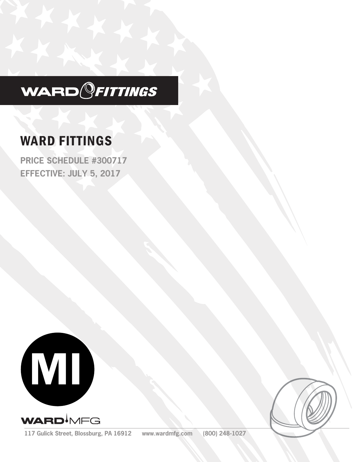

# WARD FITTINGS

**PRICE SCHEDULE #300717 EFFECTIVE: JULY 5, 2017**





**117 Gulick Street, Blossburg, PA 16912 www.wardmfg.com (800) 248-1027**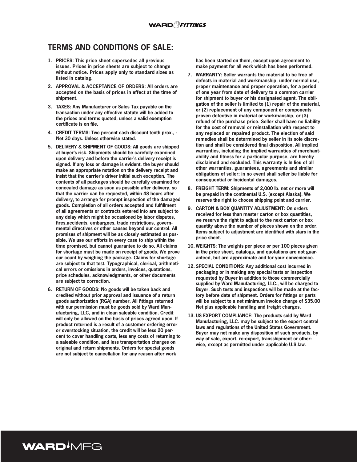## **TERMS AND CONDITIONS OF SALE:**

- **1. PRICES: This price sheet supersedes all previous issues. Prices in price sheets are subject to change without notice. Prices apply only to standard sizes as listed in catalog.**
- **2. APPROVAL & ACCEPTANCE OF ORDERS: All orders are accepted on the basis of prices in effect at the time of shipment.**
- **3. TAXES: Any Manufacturer or Sales Tax payable on the transaction under any effective statute will be added to the prices and terms quoted, unless a valid exemption certificate is on file.**
- **4. CREDIT TERMS: Two percent cash discount tenth prox., Net 30 days. Unless otherwise stated.**
- **5. DELIVERY & SHIPMENT OF GOODS: All goods are shipped at buyer's risk. Shipments should be carefully examined upon delivery and before the carrier's delivery receipt is signed. If any loss or damage is evident, the buyer should make an appropriate notation on the delivery receipt and insist that the carrier's driver initial such exception. The contents of all packages should be carefully examined for concealed damage as soon as possible after delivery, so that the carrier can be requested, within 48 hours after delivery, to arrange for prompt inspection of the damaged goods. Completion of all orders accepted and fulfillment of all agreements or contracts entered into are subject to any delay which might be occasioned by labor disputes, fires,accidents, embargoes, trade restrictions, governmental directives or other causes beyond our control. All promises of shipment will be as closely estimated as possible. We use our efforts in every case to ship within the time promised, but cannot guarantee to do so. All claims for shortage must be made on receipt of goods. We prove our count by weighing the package. Claims for shortage are subject to that test. Typographical, clerical, arithmetical errors or omissions in orders, invoices, quotations, price schedules, acknowledgments, or other documents are subject to correction.**
- **6. RETURN OF GOODS: No goods will be taken back and credited without prior approval and issuance of a return goods authorization (RGA) number. All fittings returned with our permission must be goods sold by Ward Manufacturing, LLC, and in clean saleable condition. Credit will only be allowed on the basis of prices agreed upon. If product returned is a result of a customer ordering error or overstocking situation, the credit will be less 20 percent to cover handling costs, less any costs of returning to a saleable condition, and less transportation charges on original and return shipments. Orders for special goods are not subject to cancellation for any reason after work**

WARD<sup>I</sup>MFG

**has been started on them, except upon agreement to make payment for all work which has been performed.**

- **7. WARRANTY: Seller warrants the material to be free of defects in material and workmanship, under normal use, proper maintenance and proper operation, for a period of one year from date of delivery to a common carrier for shipment to buyer or his designated agent. The obligation of the seller Is limited to (1) repair of the material, or (2) replacement of any component or components proven defective in material or workmanship, or (3) refund of the purchase price. Seller shall have no liability for the cost of removal or reinstallation with respect to any replaced or repaired product. The election of said remedies shall be determined by seller in its sole discretion and shall be considered final disposition. All implied warranties, including the implied warranties of merchantability and fitness for a particular purpose, are hereby disclaimed and excluded. This warranty is In lieu of all other warranties, guarantees, agreements and similar obligations of seller; in no event shall seller be liable for consequential or Incidental damages.**
- **8. FREIGHT TERM: Shipments of 2,000 lb. net or more will be prepaid in the continental U.S. (except Alaska). We reserve the right to choose shipping point and carrier.**
- **9. CARTON & BOX QUANTITY ADJUSTMENT: On orders received for less than master carton or box quantities, we reserve the right to adjust to the next carton or box quantity above the number of pieces shown on the order. Items subject to adjustment are identified with stars in the price sheet.**
- **10. WEIGHTS: The weights per piece or per 100 pieces given in the price sheet, catalogs, and quotations are not guaranteed, but are approximate and for your convenience.**
- **12. SPECIAL CONDITIONS: Any additional cost incurred in packaging or in making any special tests or inspection requested by Buyer in addition to those commercially supplied by Ward Manufacturing, LLC., will be charged to Buyer. Such tests and inspections will be made at the factory before date of shipment. Orders for fittings or parts will be subject to a net minimum invoice charge of \$35.00 Net plus applicable handling and freight charges.**
- **13. US EXPORT COMPLIANCE: The products sold by Ward Manufacturing, LLC. may be subject to the export control laws and regulations of the United States Government. Buyer may not make any disposition of such products, by way of sale, export, re-export, transshipment or otherwise, except as permitted under applicable U.S.law.**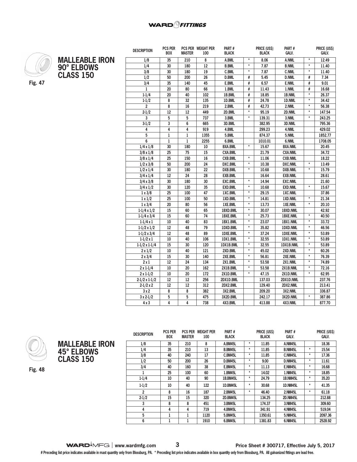

**MALLEABLE IRON 90° ELBOWS CLASS 150**

| <b>DESCRIPTION</b>   | <b>PCS PER</b><br><b>BOX</b> | <b>MASTER</b>   | PCS PER WEIGHT PER<br>100 | Pari#<br><b>BLACK</b> | PRICE (USS)       |              | PARI#<br><b>BLACK</b><br>GALV. |                   | PRICE (USS)<br>GALV. |
|----------------------|------------------------------|-----------------|---------------------------|-----------------------|-------------------|--------------|--------------------------------|-------------------|----------------------|
|                      |                              |                 |                           |                       | $\star$           |              |                                | $\star$           |                      |
| 1/8                  | 35                           | 210             | 8<br>12                   | A.BML<br><b>B.BML</b> | $\star$           | 8.06<br>7.87 | A.NML                          | $\star$           | 12.49                |
| 1/4                  | 30                           | 180             |                           |                       | $\star$           |              | <b>B.NML</b>                   | $\pmb{\ast}$      | 11.40                |
| 3/8                  | 30                           | 180             | 19                        | <b>C.BML</b>          |                   | 7.87         | <b>C.NML</b>                   |                   | 11.40                |
| 1/2                  | 50                           | 200             | 26                        | <b>D.BML</b>          | #                 | 5.45         | <b>D.NML</b>                   | #                 | 7.34                 |
| 3/4                  | 35                           | 140             | 45                        | E.BML                 | #                 | 6.57         | <b>E.NML</b>                   | #                 | 9.01                 |
| $\mathbf{1}$         | 20                           | 80              | 66                        | 1.BML                 | #                 | 11.43        | 1.NML                          | #                 | 16.68                |
| $1 - 1/4$            | 20                           | 40              | 102                       | 1B.BML                | #                 | 18.85        | 1B.NML                         | $\star$           | 26.37                |
| $1 - 1/2$            | 8                            | $\overline{32}$ | 135                       | 1D.BML                | #                 | 24.78        | 1D.NML                         | $\star$           | 34.42                |
| $\overline{2}$       | 8                            | 16              | 219                       | 2.BML                 | #                 | 42.73        | 2.NML                          | $\star$           | 56.38                |
| $2 - 1/2$            | $\overline{12}$              | 12              | 449                       | 2D.BML                | $\star$           | 95.19        | 2D.NML                         | $\star$           | 147.54               |
| 3                    | 5                            | 5               | 737                       | 3.BML                 | $\star$           | 139.31       | 3.NML                          | $\star$           | 243.25               |
| $3-1/2$              | 3                            | 6               | 665                       | 3D.BML                |                   | 382.95       | 3D.NML                         |                   | 795.36               |
| 4                    | 4                            | 4               | 919                       | 4.BML                 |                   | 299.23       | 4.NML                          |                   | 429.02               |
| 5                    | $\mathbf{1}$                 | $\mathbf{1}$    | 1355                      | 5.BML                 |                   | 874.37       | 5.NML                          |                   | 1852.77              |
| 6                    | $\mathbf{1}$                 | $\mathbf{1}$    | 2255                      | 6.BML                 |                   | 1010.01      | 6.NML                          |                   | 1708.05              |
| $1/4 \times 1/8$     | 30                           | 180             | 10                        | <b>BXA.BML</b>        | $\star$           | 15.67        | <b>BXA.NML</b>                 |                   | 20.45                |
| $3/8 \times 1/8$     | 25                           | 75              | 15                        | <b>CXA.BML</b>        |                   | 21.79        | <b>CXA.NML</b>                 |                   | 34.72                |
| $3/8 \times 1/4$     | 25                           | 150             | 16                        | <b>CXB.BML</b>        | $\overline{\ast}$ | 11.06        | <b>CXB.NML</b>                 |                   | 18.22                |
| $1/2 \times 3/8$     | 50                           | 200             | 24                        | <b>DXC.BML</b>        | $\star$           | 10.38        | <b>DXC.NML</b>                 | $\star$           | 13.49                |
| $1/2 \times 1/4$     | 30                           | 180             | 22                        | <b>DXB.BML</b>        | $^\star$          | 10.68        | <b>DXB.NML</b>                 | $^\star$          | 15.79                |
| $3/4 \times 1/4$     | 12                           | 24              | 28                        | <b>EXB.BML</b>        |                   | 16.64        | <b>EXB.NML</b>                 |                   | 28.61                |
| $3/4 \times 3/8$     | 30                           | 180             | 30                        | <b>EXC.BML</b>        | $\star$           | 14.94        | <b>EXC.NML</b>                 |                   | 21.60                |
| $3/4 \times 1/2$     | $\overline{30}$              | 120             | 35                        | <b>EXD.BML</b>        | $\star$           | 10.68        | <b>EXD.NML</b>                 | $\star$           | 15.67                |
| $1 \times 3/8$       | 25                           | 100             | 47                        | 1XC.BML               | $\star$           | 29.15        | 1XC.NML                        |                   | 37.86                |
| $1 \times 1/2$       | 25                           | 100             | 50                        | 1XD.BML               | $\star$           | 14.81        | 1XD.NML                        | $\star$           | 21.34                |
| $1 \times 3/4$       | 20                           | 80              | 56                        | 1XE.BML               | $\star$           | 13.73        | 1XE.NML                        | $\star$           | 20.10                |
| $1-1/4 \times 1/2$   | 15                           | 60              | 65                        | 1BXD.BML              | $\star$           | 30.07        | 1BXD.NML                       |                   | 42.92                |
| $1-1/4 \times 3/4$   | 15                           | 60              | 74                        | 1BXE.BML              | $^\star$          | 25.73        | 1BXE.NML                       | $^\star$          | 40.50                |
| $1-1/4 \times 1$     | 10                           | 40              | 83                        | 1BX1.BML              | $\star$           | 23.07        | 1BX1.NML                       | $\star$           | 33.72                |
| $1-1/2 \times 1/2$   | 12                           | 48              | 79                        | 1DXD.BML              | $\star$           | 35.82        | 1DXD.NML                       | $\star$           | 46.56                |
| $1-1/2 \times 3/4$   | 12                           | 48              | 89                        | 1DXE.BML              | $\star$           | 37.24        | 1DXE.NML                       | $\star$           | 53.89                |
| $1-1/2 \times 1$     | 10                           | 40              | 106                       | 1DX1.BML              | $\star$           | 32.55        | 1DX1.NML                       | $\star$           | 53.89                |
| $1-1/2 \times 1-1/4$ | 15                           | 30              | 120                       | 1DX1B.BML             | $\star$           | 32.55        | 1DX1B.NML                      | $\overline{\ast}$ | 53.89                |
| $2 \times 1/2$       | 10                           | 40              | 121                       | 2XD.BML               | $\star$           | 45.02        | 2XD.NML                        | $\star$           | 60.26                |
| $2 \times 3/4$       | 15                           | 30              | 140                       | 2XE.BML               | $\star$           | 56.81        | 2XE.NML                        | $\star$           | 76.39                |
| 2x1                  | 12                           | 24              | 134                       | 2X1.BML               | $\star$           | 53.58        | 2X1.NML                        | $\star$           | 74.89                |
| $2 \times 1 - 1/4$   | 10                           | 20              | 162                       | 2X1B.BML              | $\star$           | 53.58        | 2X1B.NML                       | $\star$           | 72.16                |
| $2 \times 1 - 1/2$   | 10                           | $\overline{20}$ | 172                       | 2X1D.BML              | $\star$           | 47.15        | 2X1D.NML                       | $\overline{\ast}$ | 62.95                |
| $2-1/2 \times 1-1/2$ | 12                           | 12              | 256                       | 2DX1D.BML             |                   | 137.03       | 2DX1D.NML                      |                   | 237.76               |
| $2-1/2 \times 2$     | 12                           | 12              | 312                       | 2DX2.BML              |                   | 129.40       | 2DX2.NML                       |                   | 213.41               |
| 3x2                  | 8                            | 8               | 382                       | 3X2.BML               |                   | 209.20       | 3X2.NML                        |                   | 336.87               |
| $3 \times 2 - 1/2$   | 5                            | 5               | 475                       | 3X2D.BML              |                   | 242.17       | 3X2D.NML                       | $\star$           | 387.86               |
| 4 x 3                | 4                            | 4               | 738                       | 4X3.BML               |                   | 413.88       | 4X3.NML                        |                   | 877.70               |
|                      |                              |                 |                           |                       |                   |              |                                |                   |                      |



**Fig. 48**

**MALLEABLE IRON 45° ELBOWS CLASS 150**

**DESCRIPTION PCS PER BOX PCS PER WEIGHT PER MASTER 100 PART # BLACK PRICE (US\$) BLACK PART # GALV. PRICE (US\$) GALV. 1/8 35 210 8 A.BM45L \* 11.85 A.NM45L 18.36 1/4 35 210 13 B.BM45L \* 11.85 B.NM45L \* 15.54 3/8 40 240 17 C.BM45L \* 11.85 C.NM45L \* 17.36 1/2 50 200 26 D.BM45L \* 9.00 D.NM45L \* 11.61 3/4 40 160 38 E.BM45L \* 11.13 E.NM45L \* 16.68 1 25 100 60 1.BM45L \* 14.02 1.NM45L \* 18.85 1-1/4 10 40 90 1B.BM45L \* 24.79 1B.NM45L \* 35.20 1-1/2 10 40 122 1D.BM45L \* 30.68 1D.NM45L \* 41.35 2 8 16 187 2.BM45L \* 46.40 2.NM45L \* 61.18 2-1/2 15 15 320 2D.BM45L 134.25 2D.NM45L 212.88 3 8 8 451 3.BM45L 174.37 3.NM45L 309.60 4 4 4 719 4.BM45L 341.91 4.NM45L 519.04 5 1 1 1120 5.BM45L 1350.61 5.NM45L 2097.36 6 1 1 1910 6.BM45L 1381.83 6.NM45L 2528.92**

**WARD**<sup> $\bullet$ </sup>MFG | www.wardmfg.com 3<br>**Price Sheet # 300717, Effective July 5, 2017**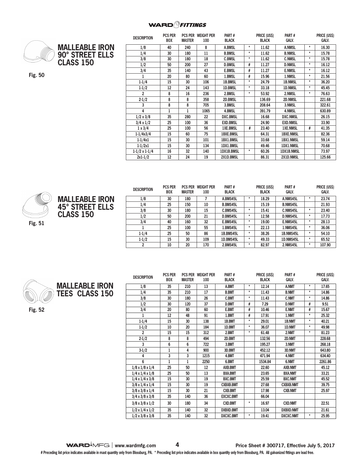#### **WARD** *FITTINGS*



| <b>MALLEABLE IRON</b> |
|-----------------------|
| 90° STREET ELLS       |
| <b>CLASS 150</b>      |

**Fig. 50**

| <b>DESCRIPTION</b>   | <b>PCS PER</b><br><b>BOX</b> | <b>MASTER</b> | PCS PER WEIGHT PER<br>100 | PART#<br><b>BLACK</b> |         | PRICE (US\$)<br><b>BLACK</b> | PART#<br><b>GALV.</b> |          | PRICE (US\$)<br><b>GALV.</b> |
|----------------------|------------------------------|---------------|---------------------------|-----------------------|---------|------------------------------|-----------------------|----------|------------------------------|
| 1/8                  | 40                           | 240           | 8                         | A.BMSL                | $^\ast$ | 11.62                        | <b>A.NMSL</b>         | $^\ast$  | 16.30                        |
| 1/4                  | 30                           | 180           | 11                        | <b>B.BMSL</b>         | *       | 11.62                        | <b>B.NMSL</b>         | $\star$  | 15.78                        |
| 3/8                  | 30                           | 180           | 18                        | <b>C.BMSL</b>         | $\star$ | 11.62                        | <b>C.NMSL</b>         | $^\star$ | 15.78                        |
| 1/2                  | 50                           | 200           | 27                        | <b>D.BMSL</b>         | #       | 11.27                        | <b>D.NMSL</b>         | $\star$  | 16.12                        |
| 3/4                  | 35                           | 140           | 43                        | <b>E.BMSL</b>         | #       | 11.27                        | <b>E.NMSL</b>         | $^\star$ | 16.12                        |
| 1                    | 20                           | 80            | 60                        | 1.BMSL                | #       | 15.96                        | 1.NMSL                | $\star$  | 21.56                        |
| $1 - 1/4$            | 15                           | 30            | 106                       | <b>1B.BMSL</b>        | $\star$ | 24.79                        | <b>1B.NMSL</b>        | $^\star$ | 36.20                        |
| $1 - 1/2$            | 12                           | 24            | 143                       | <b>1D.BMSL</b>        | *       | 33.18                        | <b>1D.NMSL</b>        | $^\star$ | 45.45                        |
| 2                    | 8                            | 16            | 236                       | 2.BMSL                | $\star$ | 53.92                        | 2.NMSL                | $\star$  | 76.63                        |
| $2 - 1/2$            | 8                            | 8             | 358                       | 2D.BMSL               |         | 136.69                       | 2D.NMSL               |          | 221.68                       |
| 3                    | 8                            | 8             | 705                       | 3.BMSL                |         | 208.64                       | 3.NMSL                |          | 322.61                       |
| 4                    | $\mathbf{1}$                 | 1             | 1065                      | 4.BMSL                |         | 391.79                       | 4.NMSL                |          | 630.89                       |
| $1/2 \times 3/8$     | 35                           | 280           | 22                        | <b>DXC.BMSL</b>       |         | 16.68                        | <b>DXC.NMSL</b>       |          | 26.15                        |
| $3/4 \times 1/2$     | 25                           | 100           | 36                        | <b>EXD.BMSL</b>       |         | 24.90                        | <b>EXD.NMSL</b>       |          | 33.90                        |
| $1 \times 3/4$       | 25                           | 100           | 56                        | <b>1XE.BMSL</b>       | #       | 23.40                        | <b>1XE.NMSL</b>       | #        | 41.35                        |
| $1 - 1/4x3/4$        | 15                           | 60            | 75                        | <b>1BXE.BMSL</b>      |         | 64.31                        | <b>1BXE.NMSL</b>      |          | 82.36                        |
| $1 - 1/4x1$          | 15                           | 30            | 101                       | 1BX1.BMSL             |         | 33.68                        | 1BX1.NMSL             |          | 59.14                        |
| $1 - 1/2x1$          | 15                           | 30            | 134                       | 1DX1.BMSL             |         | 49.46                        | <b>1DX1.NMSL</b>      |          | 70.68                        |
| $1-1/2 \times 1-1/4$ | 16                           | 32            | 140                       | 1DX1B.BMSL            | *       | 60.26                        | 1DX1B.NMSL            |          | 73.97                        |
| $2x1-1/2$            | 12                           | 24            | 19                        | 2X1D.BMSL             |         | 86.31                        | 2X1D.NMSL             |          | 125.66                       |





| <b>DESCRIPTION</b> | PCS PER<br><b>BOX</b> | <b>MASTER</b> | PCS PER WEIGHT PER<br>100 | PARI#<br><b>BLACK</b> |        | PRICE (USS)<br><b>BLACK</b> | PARI#<br><b>GALV.</b> |        | <b>PRICE (USS)</b><br><b>GALV.</b> |
|--------------------|-----------------------|---------------|---------------------------|-----------------------|--------|-----------------------------|-----------------------|--------|------------------------------------|
| 1/8                | 30                    | 180           |                           | A.BMS45L              | ÷      | 18.29                       | A.NMS45L              |        | 23.74                              |
| 1/4                | 25                    | 150           | 10                        | <b>B.BMS45L</b>       |        | 15.19                       | <b>B.NMS45L</b>       |        | 21.93                              |
| 3/8                | 30                    | 180           | 15                        | C.BMS45L              | ÷      | 15.41                       | C.NMS45L              | ÷      | 23.40                              |
| 1/2                | 50                    | 200           | 21                        | D.BMS45L              | $\ast$ | 12.58                       | D.NMS45L              | *      | 17.73                              |
| 3/4                | 40                    | 160           | 32                        | E.BMS45L              | $\ast$ | 19.00                       | E.NMS45L              | ÷      | 28.13                              |
|                    | 25                    | 100           | 55                        | 1.BMS45L              | $\ast$ | 22.13                       | <b>1.NMS45L</b>       | *      | 36.06                              |
| $1 - 1/4$          | 25                    | 50            | 86                        | 1B.BMS45L             | $\ast$ | 38.26                       | 1B.NMS45L             | $\ast$ | 54.10                              |
| $1 - 1/2$          | 15                    | 30            | 109                       | 1D.BMS45L             | $\ast$ | 49.33                       | 1D.NMS45L             | $\ast$ | 65.52                              |
|                    | 10                    | 20            | 170                       | 2.BMS45L              | $\ast$ | 82.97                       | 2.NMS45L              | $\ast$ | 107.90                             |

 $\sim$   $\sim$   $\sim$   $\sim$   $\sim$   $\sim$ 



**MALLEABLE IRON TEES CLASS 150**

**Fig. 52**

| <b>DESCRIPTION</b>          | <b>PCS PER</b> |               | <b>PCS PER WEIGHT PER</b> | Part#            |          | <b>PRICE (USS)</b> | Part #           |         | <b>PRICE (USS)</b> |
|-----------------------------|----------------|---------------|---------------------------|------------------|----------|--------------------|------------------|---------|--------------------|
|                             | <b>BOX</b>     | <b>MASTER</b> | 100                       | <b>BLACK</b>     |          | <b>BLACK</b>       | <b>GALV.</b>     |         | <b>GALV.</b>       |
| 1/8                         | 35             | 210           | 13                        | A.BMT            | $^\star$ | 12.14              | A.NMT            | *       | 17.65              |
| 1/4                         | 35             | 210           | 17                        | <b>B.BMT</b>     | $\star$  | 11.43              | <b>B.NMT</b>     | $\star$ | 14.86              |
| 3/8                         | 30             | 180           | 26                        | <b>C.BMT</b>     | $^\star$ | 11.43              | <b>C.NMT</b>     | $\star$ | 14.86              |
| 1/2                         | 30             | 120           | 37                        | <b>D.BMT</b>     | #        | 7.29               | <b>D.NMT</b>     | #       | 9.51               |
| 3/4                         | 20             | 80            | 60                        | <b>E.BMT</b>     | #        | 10.46              | <b>E.NMT</b>     | #       | 15.67              |
| 1                           | 12             | 48            | 91                        | 1.BMT            | #        | 17.91              | 1.NMT            | $\star$ | 25.32              |
| $1 - 1/4$                   | 15             | 30            | 138                       | 1B.BMT           | $\star$  | 29.01              | 1B.NMT           | $\star$ | 40.21              |
| $1 - 1/2$                   | 10             | 20            | 184                       | 1D.BMT           | $\star$  | 36.07              | 1D.NMT           | $\star$ | 49.98              |
| 2                           | 15             | 15            | 312                       | 2.BMT            | $^\star$ | 61.48              | 2.NMT            | *       | 81.23              |
| $2 - 1/2$                   | 8              | 8             | 494                       | 2D.BMT           |          | 132.56             | 2D.NMT           |         | 228.68             |
| 3                           | 6              | 6             | 722                       | 3.BMT            |          | 195.27             | 3.NMT            |         | 268.18             |
| $3-1/2$                     | $\mathbf{1}$   | 4             | 900                       | 3D.BMT           |          | 452.12             | 3D.NMT           |         | 643.80             |
| 4                           | 3              | 3             | 1215                      | 4.BMT            |          | 471.94             | 4.NMT            |         | 634.40             |
| 6                           | 1              | 1             | 2250                      | 6.BMT            |          | 1534.84            | 6.NMT            |         | 2261.86            |
| $1/8 \times 1/8 \times 1/4$ | 25             | 50            | 12                        | AXB.BMT          |          | 22.60              | <b>AXB.NMT</b>   |         | 45.12              |
| $1/4 \times 1/4 \times 1/8$ | 25             | 50            | 13                        | <b>BXA.BMT</b>   |          | 23.65              | <b>BXA.NMT</b>   |         | 33.21              |
| $1/4 \times 1/4 \times 3/8$ | 15             | 30            | 19                        | <b>BXC.BMT</b>   |          | 25.59              | <b>BXC.NMT</b>   |         | 45.52              |
| $3/8 \times 1/4 \times 1/4$ | 15             | 30            | 19                        | <b>CXBXB.BMT</b> |          | 27.68              | <b>CXBXB.NMT</b> |         | 39.75              |
| $3/8 \times 3/8 \times 1/4$ | 15             | 30            | 21                        | <b>CXB.BMT</b>   |          | 17.98              | <b>CXB.NMT</b>   |         | 25.97              |
| $3/4 \times 3/8 \times 3/8$ | 35             | 140           | 36                        | <b>EXCXC.BMT</b> |          | 66.04              |                  |         |                    |
| $3/8 \times 3/8 \times 1/2$ | 30             | 180           | 34                        | <b>CXD.BMT</b>   | $^\star$ | 16.97              | <b>CXD.NMT</b>   |         | 22.51              |
| $1/2 \times 1/4 \times 1/2$ | 35             | 140           | 32                        | <b>DXBXD.BMT</b> |          | 13.04              | <b>DXBXD.NMT</b> |         | 21.61              |
| $1/2 \times 3/8 \times 3/8$ | 35             | 140           | 32                        | <b>DXCXC.BMT</b> | $\star$  | 19.41              | <b>DXCXC.NMT</b> | *       | 25.95              |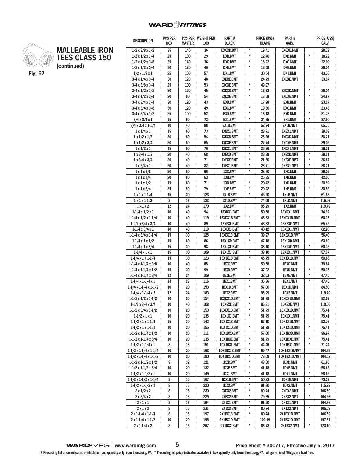**PCS PER WEIGHT PER** 

**PART #**

**PRICE (US\$)** 

**PART #**

**PRICE (US\$)** 

**DESCRIPTION** 



**MALLEABLE IRON TEES CLASS 150 (continued)**

| <b>DESCRIPTION</b>                                     | <b>BOX</b> | <b>MASTER</b> | 100      | <b>BLACK</b>              |               | <b>BLACK</b>   | GALV.                     |                    | galv.          |
|--------------------------------------------------------|------------|---------------|----------|---------------------------|---------------|----------------|---------------------------|--------------------|----------------|
| $1/2 \times 3/8 \times 1/2$                            | 35         | 140           | 36       | <b>DXCXD.BMT</b>          | $^\star$      | 19.41          | <b>DXCXD.NMT</b>          |                    | 28.72          |
| $1/2 \times 1/2 \times 1/4$                            | 25         | 100           | 29       | <b>DXB.BMT</b>            | $\star$       | 12.40          | <b>DXB.NMT</b>            | $\star$            | 18.22          |
| $1/2 \times 1/2 \times 3/8$                            | 35         | 140           | 36       | <b>DXC.BMT</b>            | $\star$       | 15.92          | <b>DXC.NMT</b>            |                    | 22.09          |
| $1/2 \times 1/2 \times 3/4$                            | 30         | 120           | 46       | <b>DXE.BMT</b>            | $\pmb{\ast}$  | 18.68          | <b>DXE.NMT</b>            | $\pmb{\star}$      | 26.04          |
| $1/2 \times 1/2 \times 1$                              | 25         | 100           | 57       | DX1.BMT                   |               | 30.54<br>24.79 | DX1.NMT                   |                    | 43.76          |
| $3/4 \times 1/4 \times 3/4$                            | 30         | 120           | 48       | <b>EXBXE.BMT</b>          |               |                | <b>EXBXE.NMT</b>          |                    | 33.97          |
| $3/4 \times 3/8 \times 3/4$                            | 25         | 100           | 53       | <b>EXCXE.BMT</b>          | $\star$       |                |                           |                    |                |
| $3/4 \times 1/2 \times 1/2$                            | 30         | 120           | 45       | <b>EXDXD.BMT</b>          | $\pmb{\star}$ | 16.62          | <b>EXDXD.NMT</b>          | $^\star$           | 26.04          |
| $3/4 \times 1/2 \times 3/4$                            | 20         | 80            | 54       | <b>EXDXE.BMT</b>          | $\pmb{\star}$ | 18.68          | <b>EXDXE.NMT</b>          | $\star$            | 24.87          |
| $3/4 \times 3/4 \times 1/4$                            | 30         | 120           | 43       | <b>EXB.BMT</b>            |               | 17.98          | <b>EXB.NMT</b>            |                    | 23.27          |
| $3/4 \times 3/4 \times 3/8$                            | 30         | 120           | 49       | <b>EXC.BMT</b>            | $\pmb{\ast}$  | 19.86          | <b>EXC.NMT</b>            |                    | 23.43          |
| $3/4 \times 3/4 \times 1/2$                            | 25         | 100           | 52       | <b>EXD.BMT</b>            | $\star$       | 16.18          | <b>EXD.NMT</b>            | $\star$<br>$\star$ | 21.78          |
| $3/4 \times 3/4 \times 1$                              | 15         | 60            | 73       | EX1.BMT                   | $\pmb{\star}$ | 24.65          | EX1.NMT                   |                    | 37.50          |
| $3/4 \times 3/4 \times 1 - 1/4$                        | 10         | 40            | 88       | <b>EX1B.BMT</b>           | $\star$       | 52.24          | <b>EX1B.NMT</b>           |                    | 65.75          |
| $1 \times 1/4 \times 1$                                | 15         | 60            | 73       | 1XBX1.BMT                 | $\pmb{\ast}$  | 23.71          | 1XBX1.NMT                 |                    | 39.59          |
| $1 \times 1/2 \times 1/2$                              | 20         | 80            | 54       | 1XDXD.BMT                 | $\star$       | 23.26          | <b>1XDXD.NMT</b>          |                    | 38.21          |
| $1 \times 1/2 \times 3/4$                              | 20         | 80            | 65       | 1XDXE.BMT                 | $^\star$      | 27.74          | <b>1XDXE.NMT</b>          |                    | 39.02          |
| $1 \times 1/2 \times 1$                                | 15         | 60            | 76       | 1XDX1.BMT                 | $\pmb{\star}$ | 23.26          | 1XDX1.NMT                 | $\pmb{\star}$      | 38.21          |
| $1 \times 3/4 \times 1/2$                              | 20         | 40            | 68       | 1XEXD.BMT                 | $\pmb{\star}$ | 23.38          | <b>1XEXD.NMT</b>          | $\star$            | 38.21          |
| $1 \times 3/4 \times 3/4$                              | 20<br>20   | 40<br>40      | 71<br>82 | <b>1XEXE.BMT</b>          | $^\star$      | 21.60<br>23.71 | <b>1XEXE.NMT</b>          | $\pmb{\star}$      | 36.87<br>38.21 |
| $1 \times 3/4 \times 1$                                | 20         | 80            | 66       | 1XEX1.BMT                 | $\star$       |                | 1XEX1.NMT                 |                    |                |
| $1 \times 1 \times 3/8$                                | 20         | 80            | 63       | 1XC.BMT<br>1XB.BMT        |               | 28.70<br>25.85 | <b>1XC.NMT</b>            |                    | 39.02<br>42.56 |
| $1 \times 1 \times 1/4$<br>$1 \times 1 \times 1/2$     | 15         | 60            | 71       | 1XD.BMT                   | $\pmb{\ast}$  | 20.42          | 1XB.NMT<br><b>1XD.NMT</b> | $\pmb{\star}$      | 30.59          |
|                                                        | 25         | 50            | 79       | 1XE.BMT                   | $\pmb{\star}$ | 20.42          | 1XE.NMT                   | $\star$            | 30.59          |
| $1 \times 1 \times 3/4$<br>$1 \times 1 \times 1 - 1/4$ | 15         | 30            | 123      | 1X1B.BMT                  | $\star$       | 45.20          | 1X1B.NMT                  |                    | 61.83          |
| $1 \times 1 \times 1 - 1/2$                            | 8          | 16            | 123      | 1X1D.BMT                  |               | 74.09          | 1X1D.NMT                  |                    | 115.06         |
| 1x1x2                                                  | 12         | 24            | 170      | 1X2.BMT                   |               | 95.29          | 1X2.NMT                   |                    | 119.49         |
| $1-1/4 \times 1/2 \times 1$                            | 10         | 40            | 94       | 1BXDX1.BMT                |               | 50.58          | 1BXDX1.NMT                |                    | 74.92          |
| $1-1/4 \times 1/2 \times 1-1/4$                        | 10         | 40            | 119      | 1BXDX1B.BMT               | $\pmb{\star}$ | 43.33          | 1BXDX1B.NMT               |                    | 60.13          |
| $1-1/4 \times 3/4 \times 3/4$                          | 10         | 40            | 89       | <b>1BXEXE.BMT</b>         | $\pmb{\star}$ | 43.33          | <b>1BXEXE.NMT</b>         |                    | 65.42          |
| $1-1/4 \times 3/4 \times 1$                            | 10         | 40            | 119      | 1BXEX1.BMT                | $\star$       | 40.12          | 1BXEX1.NMT                |                    | 62.20          |
| $1-1/4 \times 3/4 \times 1-1/4$                        | 15         | 30            | 125      | 1BXEX1B.BMT               | $\pmb{\star}$ | 39.27          | <b>1BXEX1B.NMT</b>        |                    | 56.40          |
| $1-1/4 \times 1 \times 1/2$                            | 15         | 60            | 86       | 1BX1XD.BMT                | $\star$       | 47.18          | 1BX1XD.NMT                |                    | 63.89          |
| $1-1/4 \times 1 \times 3/4$                            | 15         | 30            | 98       | <b>1BX1XE.BMT</b>         |               | 38.10          | <b>1BX1XE.NMT</b>         | $\star$            | 60.13          |
| $1 - 1/4 x 1 x 1$                                      | 15         | 30            | 109      | 1BX1X1.BMT                | $\pmb{\star}$ | 38.10          | 1BX1X1.NMT                | $\star$            | 57.57          |
| $1-1/4 \times 1 \times 1-1/4$                          | 15         | 30            | 123      | 1BX1X1B.BMT               | $\star$       | 45.75          | 1BX1X1B.NMT               |                    | 60.88          |
| $1-1/4 \times 1-1/4 \times 3/8$                        | 10         | 40            | 85       | 1BXC.BMT                  |               | 50.58          | <b>1BXC.NMT</b>           |                    | 79.84          |
| $1-1/4 \times 1-1/4 \times 1/2$                        | 15         | 30            | 99       | 1BXD.BMT                  | $\pmb{\star}$ | 37.22          | 1BXD.NMT                  | $\pmb{\star}$      | 50.15          |
| $1-1/4 \times 1-1/4 \times 3/4$                        | 12         | 24            | 109      | 1BXE.BMT                  | $\pmb{\star}$ | 32.63          | <b>1BXE.NMT</b>           | $\star$            | 47.45          |
| $1-1/4 \times 1-1/4 \times 1$                          | 14         | 28            | 116      | 1BX1.BMT                  | $\pmb{\star}$ | 35.36          | 1BX1.NMT                  | $\pmb{\star}$      | 47.45          |
| $1-1/4 \times 1-1/4 \times 1-1/2$                      | 10         | 20            | 153      | 1BX1D.BMT                 | $\star$       | 57.00          | 1BX1D.NMT                 |                    | 84.50          |
| $1-1/4 \times 1-1/4 \times 2$                          | 12         | 24            | 183      | 1BX2.BMT                  |               | 95.29          | 1BX2.NMT                  |                    | 119.49         |
| $1-1/2 \times 1/2 \times 1-1/2$                        | 10         | 20            | 154      | 1DXDX1D.BMT               | $\pmb{\ast}$  | 51.79          | 1DXDX1D.NMT               |                    | 82.69          |
| $1-1/2 \times 3/4 \times 3/4$                          | 10         | 40            | 108      | <b>1DXEXE.BMT</b>         | $\pmb{\ast}$  | 86.81          | <b>1DXEXE.NMT</b>         |                    | 110.06         |
| $1-1/2 \times 3/4 \times 1-1/2$                        | 10         | 20            | 153      | 1DXEX1D.BMT               | $\star$       | 51.79          | <b>1DXEX1D.NMT</b>        |                    | 75.41          |
| $1-1/2 \times 1 \times 1$                              | 10         | 20            | 135      | 1DX1X1.BMT                | $\pmb{\ast}$  | 51.79          | 1DX1X1.NMT                |                    | 75.41          |
| $1-1/2 \times 1 \times 1-1/4$                          | 15         | 30            | 142      | 1DX1X1B.BMT               |               | 67.10          | 1DX1X1B.NMT               |                    | 92.76          |
| $1-1/2 \times 1 \times 1-1/2$                          | 10         | 20            | 155      | 1DX1X1D.BMT               | $\pmb{\star}$ | 51.79          | 1DX1X1D.NMT               | $^\star$           | 75.41          |
| $1-1/2 \times 1-1/4 \times 1/2$                        | 10         | 20            | 111      | 1DX1BXD.BMT               |               | 57.00          | 1DX1BXD.NMT               |                    | 86.97          |
| $1-1/2 \times 1-1/4 \times 3/4$                        | 10         | 20            | 135      | 1DX1BXE.BMT               | $\pmb{\ast}$  | 51.79          | 1DX1BXE.NMT               | $^\star$           | 75.41          |
| $1-1/2 \times 1-1/4 \times 1$                          | 8          | 16            | 151      | 1DX1BX1.BMT               | $\star$       | 44.46          | 1DX1BX1.NMT               | $\pmb{\star}$      | 71.24          |
| $1-1/2 \times 1-1/4 \times 1-1/4$                      | 10         | 20            | 163      | 1DX1BX1B.BMT              | $^\star$      | 69.47          | 1DX1BX1B.NMT              |                    | 104.52         |
| $1-1/2 \times 1-1/4 \times 1-1/2$                      | 10         | 20            | 180      | 1DX1BX1D.BMT              | $\pmb{\star}$ | 78.09          | 1DX1BX1D.NMT              |                    | 104.52         |
| $1-1/2 \times 1-1/2 \times 1/2$                        | 8          | 32            | 121      | 1DXD.BMT                  | $\pmb{\star}$ | 43.60          | 1DXD.NMT                  | $\star$            | 61.95          |
| $1-1/2 \times 1-1/2 \times 3/4$                        | 10         | 20            | 132      | 1DXE.BMT                  | $\pmb{\ast}$  | 41.18          | 1DXE.NMT                  | $\pmb{\ast}$       | 58.62          |
| $1-1/2 \times 1-1/2 \times 1$                          | 10         | 20            | 149      | 1DX1.BMT                  | $\pmb{\star}$ | 41.18          | 1DX1.NMT                  | $\pmb{\star}$      | 58.62          |
| 1-1/2 x 1-1/2 x 1-1/4                                  | 8          | 16            | 167      | 1DX1B.BMT                 | $^\star$      | 50.93          | 1DX1B.NMT                 | $^\star$           | 73.39          |
| $1-1/2 \times 1-1/2 \times 2$                          | 8          | 16            | 220      | 1DX2.BMT                  | $\pmb{\ast}$  | 91.80          | 1DX2.NMT                  | $\pmb{\star}$      | 115.29         |
| $2 \times 1/2 \times 2$                                | 8          | 16            | 230      | 2XDX2.BMT                 | $\star$       | 80.74          | 2XDX2.NMT                 |                    | 106.59         |
| $2 \times 3/4 \times 2$                                | 8          | 16            | 229      | $\pmb{\ast}$<br>2XEX2.BMT |               | 79.35          | 2XEX2.NMT                 | $\pmb{\ast}$       | 104.56         |
| 2x1x1                                                  | 8          | 16            | 164      | $\star$<br>2X1X1.BMT      |               | 91.90          | <b>2X1X1.NMT</b>          |                    | 104.76         |
| 2x1x2                                                  | 8          | 16            | 231      | $\pmb{\ast}$<br>2X1X2.BMT |               | 80.74          | <b>2X1X2.NMT</b>          | *                  | 106.59         |
| $2 \times 1 - 1/4 \times 1 - 1/4$                      | 8          | 16            | 197      | $^\star$<br>2X1BX1B.BMT   |               | 80.74          | 2X1BX1B.NMT               |                    | 106.59         |
| $2 \times 1 - 1/4 \times 1 - 1/2$                      | 10         | 20            | 195      | 2X1BX1D.BMT               |               | 102.99         | 2X1BX1D.NMT               |                    | 157.87         |
| $2 \times 1 - 1/4 \times 2$                            | 8          | 16            | 267      | 2X1BX2.BMT                | $\pmb{\ast}$  | 86.73          | 2X1BX2.NMT                | $^\star$           | 123.10         |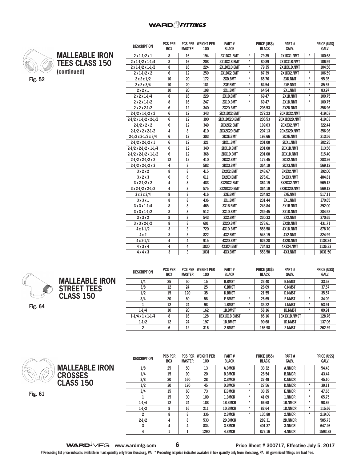

**MALLEABLE IRON TEES CLASS 150 (continued)**

| <b>DESCRIPTION</b>                | PUS PER<br><b>BOX</b> | <b>MASTER</b> | PUS PER WEIGHT PER<br>100 | <b>PARI#</b><br><b>BLACK</b>   | <b>PRICE (USS)</b><br><b>PARI#</b><br>GALV.<br><b>BLACK</b> |        |              | <b>PRICE (USS)</b><br>GALV. |         |
|-----------------------------------|-----------------------|---------------|---------------------------|--------------------------------|-------------------------------------------------------------|--------|--------------|-----------------------------|---------|
| $2 \times 1 - 1/2 \times 1$       | 8                     | 16            | 194                       | 2X1DX1.BMT                     | $\star$                                                     | 79.35  | 2X1DX1.NMT   | $\star$                     | 100.68  |
| $2 \times 1 - 1/2 \times 1 - 1/4$ | 8                     | 16            | 208                       | 2X1DX1B.BMT                    | $\star$                                                     | 80.89  | 2X1DX1B.NMT  |                             | 106.59  |
| $2 \times 1 - 1/2 \times 1 - 1/2$ | 8                     | 16            | 224                       | 2X1DX1D.BMT                    | $\star$                                                     | 79.35  | 2X1DX1D.NMT  |                             | 104.56  |
| $2 \times 1 - 1/2 \times 2$       | 6                     | 12            | 259                       | 2X1DX2.BMT                     | $\star$                                                     | 87.39  | 2X1DX2.NMT   | $\star$                     | 106.59  |
| $2 \times 2 \times 1/2$           | 10                    | 20            | 172                       | 2XD.BMT                        | $\star$                                                     | 65.76  | 2XD.NMT      | $\star$                     | 95.35   |
| $2 \times 2 \times 3/4$           | 10                    | 20            | 181                       | 2XE.BMT                        | $\star$                                                     | 64.54  | 2XE.NMT      | $\star$                     | 85.57   |
| 2x2x1                             | 10                    | 20            | 198                       | 2X1.BMT                        | $\star$                                                     | 64.54  | 2X1.NMT      | $\star$                     | 83.97   |
| $2 \times 2 \times 1 - 1/4$       | 8                     | 16            | 229                       | 2X1B.BMT                       | $\star$                                                     | 69.47  | 2X1B.NMT     | $\star$                     | 100.75  |
| $2 \times 2 \times 1 - 1/2$       | 8                     | 16            | 247                       | 2X1D.BMT                       | $\star$                                                     | 69.47  | 2X1D.NMT     | $\star$                     | 100.75  |
| $2 \times 2 \times 2 - 1/2$       | 6                     | 12            | 340                       | 2X2D.BMT                       |                                                             | 206.53 | 2X2D.NMT     |                             | 356.96  |
| $2-1/2 \times 1-1/2 \times 2$     | 6                     | 12            | 343                       | 2DX1DX2.BMT                    |                                                             | 272.23 | 2DX1DX2.NMT  |                             | 419.03  |
| $2-1/2 \times 1-1/2 \times 2-1/2$ | 6                     | 12            | 390                       | 2DX1DX2D.BMT                   |                                                             | 206.53 | 2DX1DX2D.NMT |                             | 419.03  |
| $2-1/2 \times 2 \times 2$         | 6                     | 12            | 349                       | 2DX2X2.BMT                     |                                                             | 199.03 | 2DX2X2.NMT   |                             | 322.44  |
| $2-1/2 \times 2 \times 2-1/2$     | 4                     | 8             | 410                       | 2DX2X2D.BMT                    |                                                             | 207.13 | 2DX2X2D.NMT  |                             | 356.96  |
| $2-1/2 \times 2-1/2 \times 3/4$   | 6                     | 12            | 303                       | 2DXE.BMT                       |                                                             | 193.66 | 2DXE.NMT     |                             | 313.56  |
| $2-1/2 \times 2-1/2 \times 1$     | 6                     | 12            | 321                       | 2DX1.BMT                       |                                                             | 201.08 | 2DX1.NMT     |                             | 302.25  |
| $2-1/2 \times 2-1/2 \times 1-1/4$ | 6                     | 12            | 340                       | 2DX1B.BMT                      |                                                             | 201.08 | 2DX1B.NMT    |                             | 313.56  |
| $2-1/2 \times 2-1/2 \times 1-1/2$ | 6                     | 12            | 368                       | 2DX1D.BMT                      |                                                             | 201.08 | 2DX1D.NMT    |                             | 315.40  |
| $2-1/2 \times 2-1/2 \times 2$     | 12                    | 12            | 410                       | 2DX2.BMT                       |                                                             | 172.45 | 2DX2.NMT     |                             | 283.26  |
| $2-1/2 \times 2-1/2 \times 3$     | 4                     | 8             | 582                       | 2DX3.BMT                       |                                                             | 364.19 | 2DX3.NMT     |                             | 569.12  |
| 3x2x2                             | 8                     | 8             | 415                       | 3X2X2.BMT                      |                                                             | 243.67 | 3X2X2.NMT    |                             | 392.00  |
| 3x2x3                             | 6                     | 6             | 611                       | 3X2X3.BMT                      |                                                             | 276.61 | 3X2X3.NMT    |                             | 484.81  |
| $3 \times 2 - 1/2 \times 2$       | 4                     | 8             | 483                       | 3X2DX2.BMT                     |                                                             | 364.19 | 3X2DX2.NMT   |                             | 569.12  |
| $3 \times 2 - 1/2 \times 2 - 1/2$ | 4                     | 8             | 575                       | 3X2DX2D.BMT                    |                                                             | 364.19 | 3X2DX2D.NMT  |                             | 569.12  |
| 3x3x3/4                           | 8                     | 8             | 416                       | 3XE.BMT                        |                                                             | 234.82 | 3XE.NMT      |                             | 517.11  |
| 3x3x1                             | 8                     | 8             | 436                       | 3X1.BMT                        |                                                             | 231.44 | 3X1.NMT      |                             | 370.65  |
| $3x3x1-1/4$                       | 8                     | 8             | 465                       | 3X1B.BMT                       |                                                             | 243.84 | 3X1B.NMT     |                             | 392.00  |
| $3 \times 3 \times 1 - 1/2$       | 8                     | 8             | 512                       | 3X1D.BMT                       |                                                             | 239.45 | 3X1D.NMT     |                             | 384.52  |
| 3x3x2                             | 8                     | 8             | 543                       | 3X2.BMT                        |                                                             | 230.33 | 3X2.NMT      |                             | 370.65  |
| $3 \times 3 \times 2 - 1/2$       | 8                     | 8             | 601                       | 3X2D.BMT                       |                                                             | 273.61 | 3X2D.NMT     |                             | 431.71  |
| $4 \times 1 - 1/2$                | 3                     | 3             | 720                       | 4X1D.BMT<br>558.58<br>4X1D.NMT |                                                             |        | 878.70       |                             |         |
| 4x2                               | 3                     | 3             | 822                       | 4X2.BMT                        | 543.19<br>4X2.NMT                                           |        |              | 824.99                      |         |
| $4 \times 2 - 1/2$                | 4                     | 4             | 915                       | 4X2D.BMT                       |                                                             | 626.28 | 4X2D.NMT     |                             | 1138.24 |
| 4x3x4                             | 4                     | 4             | 1030                      | 4X3X4.BMT                      |                                                             | 734.83 | 4X3X4.NMT    |                             | 1136.33 |
| 4x4x3                             | 3                     | 3             | 1031                      | 4X3.BMT                        |                                                             | 558.58 | 4X3.NMT      |                             | 1031.50 |

**PART #**

**PRICE (US\$)** 

**PART #**

**PRICE (US\$)** 



| <b>DESCRIPTION</b>            | <b>PCS PER</b><br><b>BOX</b> | <b>PCS PER</b><br><b>MASTER</b> | <b>WEIGHT PER</b><br>100 | PART#<br><b>BLACK</b> |         | PRICE (US\$)<br><b>BLACK</b> | PART#<br><b>GALV.</b> |   | PRICE (US\$)<br><b>GALV.</b> |
|-------------------------------|------------------------------|---------------------------------|--------------------------|-----------------------|---------|------------------------------|-----------------------|---|------------------------------|
| 1/4                           | 25                           | 50                              | 15                       | <b>B.BMST</b>         |         | 23.40                        | <b>B.NMST</b>         |   | 33.58                        |
| 3/8                           | 12                           | 24                              | 25                       | <b>C.BMST</b>         |         | 26.09                        | <b>C.NMST</b>         |   | 37.57                        |
| 1/2                           | 15                           | 120                             | 35                       | <b>D.BMST</b>         |         | 21.55                        | <b>D.NMST</b>         |   | 35.57                        |
| 3/4                           | 20                           | 80                              | 58                       | <b>E.BMST</b>         | ×       | 26.65                        | <b>E.NMST</b>         | ÷ | 34.09                        |
|                               | 12                           | 24                              | 98                       | 1.BMST                | $\star$ | 35.22                        | 1.NMST                | ÷ | 53.91                        |
| $1 - 1/4$                     | 10                           | 20                              | 162                      | 1B.BMST               | $\star$ | 58.16                        | <b>1B.NMST</b>        | ÷ | 89.91                        |
| $1-1/4 \times 1 \times 1-1/4$ | 8                            | 16                              | 128                      | 1BX1X1B.BMST          |         | 85.16                        | <b>1BX1X1B.NMST</b>   |   | 128.76                       |
| $1 - 1/2$                     | 12                           | 24                              | 197                      | <b>1D.BMST</b>        |         | 90.68                        | <b>1D.NMST</b>        |   | 137.06                       |
| 2                             | 6                            | 12                              | 316                      | 2.BMST                |         | 166.98                       | 2.NMST                |   | 262.39                       |

**3 4 4 834 3.BMCR 401.37 3.NMCR 647.26 4 1 1 1290 4.BMCR 879.16 4.NMCR 1593.88**



**DESCRIPTION PCS PER BOX PCS PER WEIGHT PER MASTER 100 PART # BLACK PRICE (US\$) BLACK 1/8 25 50 13 A.BMCR 33.32 A.NMCR 54.43 1/4 15 90 20 B.BMCR 26.54 B.NMCR 43.44 3/8 20 160 28 C.BMCR 27.49 C.NMCR 45.10 1/2 30 120 45 D.BMCR \* 27.56 D.NMCR \* 39.11 3/4 15 60 73 E.BMCR \* 33.35 E.NMCR \* 47.65 1 15 30 109 1.BMCR \* 41.09 1.NMCR \* 65.75 1-1/4 12 24 188 1B.BMCR \* 66.68 1B.NMCR \* 98.86 1-1/2 8 16 211 1D.BMCR \* 82.64 1D.NMCR \* 115.66 2 8 8 336 2.BMCR \* 135.88 2.NMCR \* 219.06 2-1/2 4 8 533 2D.BMCR 289.31 2D.NMCR 585.73 MALLEABLE IRON** 

**Fig. 61**

**PART # GALV.**

**PRICE (US\$) GALV.**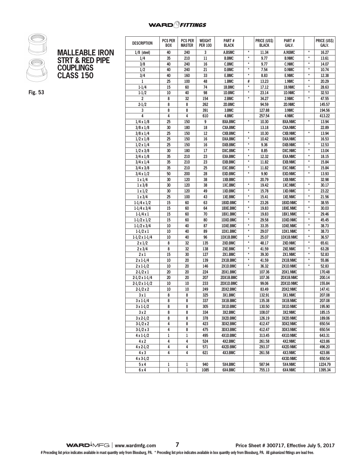# **WARD** *SHITINGS*



| <b>MALLEABLE IRON</b>      |
|----------------------------|
| <b>STRT &amp; RED PIPE</b> |
| <b>COUPLINGS</b>           |
| <b>CLASS 150</b>           |

**Fig. 53**

| <b>DESCRIPTION</b>      | <b>PCS PER</b><br><b>PCS PER</b><br>WEIGHT |               | Part #           |                | <b>PRICE (USS)</b><br><b>BLACK</b> | Part #           |                 | PRICE (US\$)  |         |
|-------------------------|--------------------------------------------|---------------|------------------|----------------|------------------------------------|------------------|-----------------|---------------|---------|
|                         | <b>BOX</b>                                 | <b>MASTER</b> | <b>PER 100</b>   | <b>BLACK</b>   |                                    |                  | GALV.           |               | GALV.   |
| $1/8$ (steel)           | 40                                         | 240           | 3                | A.BSMC         | $\star$                            | 11.34            | <b>A.NSMC</b>   | $\star$       | 16.27   |
| 1/4                     | 35                                         | 210           | 11               | <b>B.BMC</b>   | $\star$                            | 9.77             | <b>B.NMC</b>    | $\star$       | 13.61   |
| 3/8                     | 40                                         | 240           | 16               | C.BMC          | $\star$                            | 9.77             | <b>C.NMC</b>    | $\star$       | 14.07   |
| 1/2                     | 40                                         | 240           | 21               | D.BMC          | $\pmb{\star}$                      | 7.54             | <b>D.NMC</b>    | $\star$       | 10.74   |
| 3/4                     | 40                                         | 160           | 33               | E.BMC          | $\star$                            | 8.83             | <b>E.NMC</b>    | $^\star$      | 12.38   |
| 1                       | 25                                         | 100           | 48               | 1.BMC          | #                                  | 13.23            | 1.NMC           | $\star$       | 20.29   |
| $1 - 1/4$               | 15                                         | 60            | 74               | 1B.BMC         | $\star$                            | 17.12            | 1B.NMC          | $\star$       | 28.63   |
| $1 - 1/2$               | 10                                         | 40            | 98               | 1D.BMC         | $\star$                            | 23.14            | 1D.NMC          | $^\star$      | 32.53   |
| $\overline{\mathbf{c}}$ | 8                                          | 32            | 154              | 2.BMC          | $\star$                            | 34.27            | 2.NMC           | $^\star$      | 47.55   |
| $2 - 1/2$               | 8                                          | 8             | 262              | 2D.BMC         |                                    | 94.59            | 2D.NMC          |               | 145.57  |
| 3                       | 8                                          | 8             | 391              | 3.BMC          |                                    | 127.88           | 3.NMC           |               | 194.56  |
| 4                       | 4                                          | 4             | 610              | 4.BMC          |                                    | 257.54           | 4.NMC           |               | 413.22  |
| $1/4 \times 1/8$        | 25                                         | 150           | 9                | <b>BXA.BMC</b> | $\star$                            | 10.30            | <b>BXA.NMC</b>  | $\star$       | 13.94   |
| $3/8 \times 1/8$        | 30                                         | 180           | 18               | <b>CXA.BMC</b> |                                    | 13.18            | <b>CXA.NMC</b>  |               | 22.89   |
| $3/8 \times 1/4$        | 25                                         | 150           | 12               | <b>CXB.BMC</b> | $\star$                            | 10.30            | <b>CXB.NMC</b>  | $^\star$      | 13.94   |
| $1/2 \times 1/8$        | 25                                         | 150           | 16               | <b>DXA.BMC</b> | $\star$                            | 10.42            | <b>DXA.NMC</b>  |               | 16.53   |
| $1/2 \times 1/4$        | 25                                         | 150           | 16               | <b>DXB.BMC</b> | $\star$                            | 9.36             | <b>DXB.NMC</b>  | $\star$       | 12.53   |
| $1/2 \times 3/8$        | 30                                         | 180           | 17               | DXC.BMC        | $\star$                            | 8.85             | <b>DXC.NMC</b>  | $\star$       | 13.04   |
| $3/4 \times 1/8$        | 35                                         | 210           | 23               | <b>EXA.BMC</b> | $\pmb{\star}$                      | 12.32            | <b>EXA.NMC</b>  | $\star$       | 18.15   |
| $3/4 \times 1/4$        | 35                                         | 210           | 23               | <b>EXB.BMC</b> | $\star$                            | 11.82            | <b>EXB.NMC</b>  | $\star$       | 15.84   |
| $3/4 \times 3/8$        | 35                                         | 210           | 25               | <b>EXC.BMC</b> | $\star$                            | 11.82            | <b>EXC.NMC</b>  | $\star$       | 15.84   |
| $3/4 \times 1/2$        | 50                                         | 200           | 28               | <b>EXD.BMC</b> | $\star$                            | 9.90             | <b>EXD.NMC</b>  | $^\star$      | 13.93   |
| $1 \times 1/4$          | 30                                         | 120           | 38               | 1XB.BMC        |                                    | 20.79            | 1XB.NMC         |               | 32.98   |
| $1 \times 3/8$          | 30                                         | 120           | 38               | 1XC.BMC        | $\pmb{\star}$                      | 19.42            | <b>1XC.NMC</b>  | $\star$       | 30.17   |
| $1 \times 1/2$          | 30                                         | 120           | 49               | 1XD.BMC        | *                                  | 15.78            | 1XD.NMC         | $\pmb{\star}$ | 23.22   |
| $1 \times 3/4$          | 25                                         | 100           | 43               | 1XE.BMC        | $\star$                            | 15.41            | 1XE.NMC         | $\star$       | 21.56   |
| $1-1/4 \times 1/2$      | 15                                         | 60            | 63               | 1BXD.BMC       | $^\star$                           | 23.26            | 1BXD.NMC        | $\star$       | 38.55   |
| $1-1/4 \times 3/4$      | 15                                         | 60            | 64               | 1BXE.BMC       | $\star$                            | 19.83            | <b>1BXE.NMC</b> | $\star$       | 30.03   |
| $1-1/4x1$               | 15                                         | 60            | 70               | 1BX1.BMC       | $\star$                            | 19.83            | 1BX1.NMC        | $\star$       | 29.46   |
| $1-1/2 \times 1/2$      | 15                                         | 60            | 80               | 1DXD.BMC       | $\star$                            | 29.58            | 1DXD.NMC        | $\star$       | 45.45   |
| $1-1/2 \times 3/4$      | 10                                         | 40            | 87               | 1DXE.BMC       | $\star$                            | 33.35            | <b>1DXE.NMC</b> | $\star$       | 38.73   |
| $1-1/2 \times 1$        | 10                                         | 40            | 89               | 1DX1.BMC       | $^\star$                           | 29.07            | 1DX1.NMC        | $^\star$      | 38.73   |
| $1-1/2 \times 1-1/4$    | 10                                         | 40            | 96               | 1DX1B.BMC      | $\pmb{\star}$                      | 25.07            | 1DX1B.NMC       | $\star$       | 36.57   |
| $2 \times 1/2$          | 8                                          | 32            | 135              | 2XD.BMC        | $\pmb{\star}$                      | 48.17            | 2XD.NMC         | $\star$       | 65.61   |
| $2 \times 3/4$          | 8                                          | 32            | 138              | 2XE.BMC        | $\star$                            | 41.59            | 2XE.NMC         | $^\star$      | 63.28   |
| $2 \times 1$            | 15                                         | 30            | 127              | 2X1.BMC        | $\star$                            | 39.30            | 2X1.NMC         | $\star$       | 52.83   |
| $2 \times 1 - 1/4$      | 10                                         | 20            | 139              | 2X1B.BMC       | $\star$                            | 41.59            | 2X1B.NMC        | $\star$       | 55.86   |
| $2 \times 1 - 1/2$      | 10                                         | 20            | 146              | 2X1D.BMC       | $\star$                            | 36.32            | 2X1D.NMC        | $\star$       | 52.83   |
| $2-1/2 \times 1$        | 20                                         | 20            | 224              | 2DX1.BMC       |                                    | 107.36           | 2DX1.NMC        |               | 170.48  |
| $2-1/2 \times 1-1/4$    | 20                                         | 20            | 207              | 2DX1B.BMC      |                                    | 107.36           | 2DX1B.NMC       |               | 200.14  |
| $2-1/2 \times 1-1/2$    | 10                                         | 10            | 233              | 2DX1D.BMC      |                                    | 99.06            | 2DX1D.NMC       |               | 155.84  |
| $2-1/2 \times 2$        | 10                                         | 10            | 249              | 2DX2.BMC       |                                    | 83.49            | 2DX2.NMC        |               | 147.41  |
| 3 x 1                   | 8                                          | 8             | 325              | 3X1.BMC        |                                    | 132.91           | 3X1.NMC         |               | 207.08  |
|                         | 8                                          | 8             | $\overline{337}$ | 3X1B.BMC       |                                    | 135.38           | 3X1B.NMC        |               | 207.08  |
| $3 \times 1 - 1/4$      | 8                                          | 8             |                  | 3X1D.BMC       |                                    |                  | 3X1D.NMC        |               | 195.90  |
| 3 x 1-1/2               | 8                                          | 8             | 305<br>334       | 3X2.BMC        |                                    | 130.50<br>108.07 | 3X2.NMC         |               | 185.15  |
| 3x2                     |                                            |               |                  |                |                                    |                  |                 |               |         |
| $3x2-1/2$               | 8                                          | 8             | 378              | 3X2D.BMC       |                                    | 126.19           | 3X2D.NMC        |               | 189.06  |
| $3-1/2 \times 2$        | 4                                          | 8             | 423              | 3DX2.BMC       |                                    | 412.47           | 3DX2.NMC        |               | 650.54  |
| $3-1/2 \times 3$        | 4                                          | 8             | 475              | 3DX3.BMC       |                                    | 412.47           | 3DX3.NMC        |               | 650.54  |
| $4 \times 1 - 1/2$      | 1                                          | 1             | 495              | 4X1D.BMC       |                                    | 313.45           | 4X1D.NMC        |               | 643.31  |
| 4x2                     | 4                                          | 4             | 524              | 4X2.BMC        |                                    | 261.58           | 4X2.NMC         |               | 423.86  |
| 4 x 2-1/2               | 4                                          | 4             | 571              | 4X2D.BMC       |                                    | 293.37           | 4X2D.NMC        |               | 496.20  |
|                         | 4<br>4x3<br>4<br>621                       |               |                  | 4X3.BMC        |                                    | 261.58           | 4X3.NMC         |               | 423.86  |
| $4 \times 3 - 1/2$      |                                            |               |                  |                |                                    | 4X3D.NMC         |                 | 650.54        |         |
| 5x4                     | 1                                          | 1             | 940              | 5X4.BMC        |                                    | 587.94           | 5X4.NMC         |               | 1224.79 |
| 6x4                     | $\,1$                                      | $\,1$         | 1085             | 6X4.BMC        |                                    | 755.13           | 6X4.NMC         |               | 1395.34 |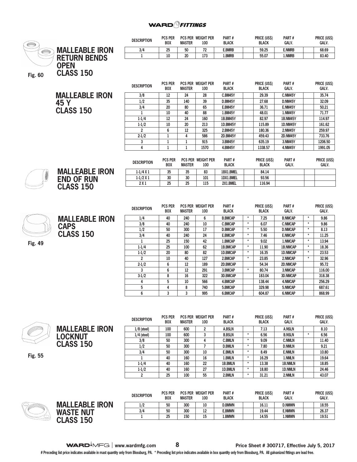#### **WARD** *FITTINGS*



**Fig. 55**

R

**MALLEABLE IRON LOCKNUT CLASS 150**

**1/8 (steel) 100 600 2 A.BSLN 7.13 A.NSLN 8.10 1/4 (steel) 100 600 3 B.BSLN \* 6.56 B.NSLN \* 6.56 3/8 50 300 4 C.BMLN \* 9.09 C.NMLN 11.40 1/2 50 300 7 D.BMLN \* 7.80 D.NMLN 9.21 3/4 50 300 10 E.BMLN \* 8.49 E.NMLN 10.80 1 40 160 16 1.BMLN \* 16.29 1.NMLN 19.64 1-1/4 40 160 22 1B.BMLN \* 13.38 1B.NMLN 18.85 1-1/2 40 160 27 1D.BMLN \* 18.80 1D.NMLN 24.46 2 25 100 55 2.BMLN \* 31.21 2.NMLN 43.07**

|                    |                       | <b>DESCRIPTION</b> | <b>PCS PER</b><br><b>BOX</b> | <b>MASTER</b> | <b>PCS PER WEIGHT PER</b><br>100 | PART#<br><b>BLACK</b> | PRICE (US\$)<br><b>BLACK</b> | PART#<br>GALV. | <b>PRICE (US\$)</b><br><b>GALV</b> |
|--------------------|-----------------------|--------------------|------------------------------|---------------|----------------------------------|-----------------------|------------------------------|----------------|------------------------------------|
|                    | <b>MALLEABLE IRON</b> | 1/2                | 50                           | 300           | 10                               | <b>D.BMWN</b>         | 16.11                        | <b>D.NMWN</b>  | 18.55                              |
|                    | <b>WASTE NUT</b>      | 3/4                | 50                           | 300           | 12<br>ᅭ                          | <b>E.BMWN</b>         | 19.44                        | <b>E.NMWN</b>  | 26.37                              |
| $\leq$ $\otimes$ , | 1E <sub>0</sub>       |                    | 25                           | 150           | 15<br>                           | <b>L.BMWN</b>         | 14.55                        | <b>L.NMWN</b>  | 19.51                              |
|                    |                       |                    |                              |               |                                  |                       |                              |                |                                    |

**WARD**<sup> $\overline{M}$ FG | www.wardmfg.com 8 **8 Price Sheet # 300717, Effective July 5, 2017**</sup>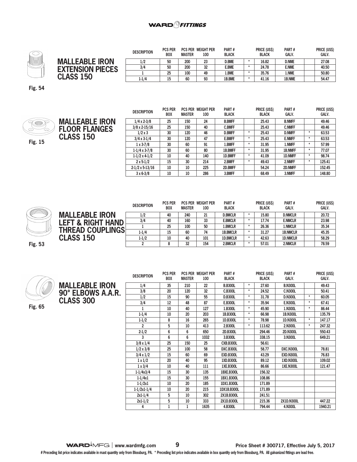

|                         | <b>DESCRIPTION</b> | <b>PCS PER</b><br><b>BOX</b> | <b>MASTER</b> | <b>PCS PER WEIGHT PER</b><br>100 | PART#<br><b>BLACK</b> | <b>PRICE (USS)</b><br><b>BLACK</b> | PART#<br><b>GALV.</b> | <b>PRICE (USS)</b><br><b>GALV.</b> |
|-------------------------|--------------------|------------------------------|---------------|----------------------------------|-----------------------|------------------------------------|-----------------------|------------------------------------|
| <b>MALLEABLE IRON</b>   | 1/2                | 50                           | 200           | 23                               | <b>D.BME</b>          | 16.82                              | <b>D.NME</b>          | 27.08                              |
| <b>EXTENSION PIECES</b> | 3/4                | 50                           | 200           | 32                               | e.bme                 | 24.78                              | <b>E.NME</b>          | 40.50                              |
|                         |                    | 25                           | 100           | 49                               | l.BME                 | 35.76                              | l.NME                 | 50.80                              |
| <b>CLASS 150</b>        | 1-1/4              | 15                           | 60            | 93                               | 1B.BME                | 41.16                              | 1B.NME                | 54.47                              |

**Fig. 54**



|                       | <b>DESCRIPTION</b>     | <b>PCS PER</b><br><b>BOX</b> | <b>MASTER</b> | <b>PCS PER WEIGHT PER</b><br>100 | PART#<br><b>BLACK</b> |         | <b>PRICE (USS)</b><br><b>BLACK</b> | PART#<br><b>GALV.</b> |         | <b>PRICE (US\$)</b><br>GALV. |
|-----------------------|------------------------|------------------------------|---------------|----------------------------------|-----------------------|---------|------------------------------------|-----------------------|---------|------------------------------|
| <b>MALLEABLE IRON</b> | $1/4 \times 2 - 3/8$   | 25                           | 150           | 24                               | <b>B.BMFF</b>         |         | 25.43                              | <b>B.NMFF</b>         |         | 49.46                        |
| <b>FLOOR FLANGES</b>  | $3/8 \times 2 - 15/16$ | 25                           | 150           | 40                               | <b>C.BMFF</b>         |         | 25.43                              | <b>C.NMFF</b>         |         | 49.46                        |
|                       | $1/2 \times 3$         | 30                           | 120           | 46                               | <b>D.BMFF</b>         | $\star$ | 25.43                              | <b>D.NMFF</b>         | ÷       | 63.53                        |
| <b>CLASS 150</b>      | $3/4 \times 3 - 1/4$   | 30                           | 120           | 47                               | <b>E.BMFF</b>         | $\star$ | 25.43                              | <b>E.NMFF</b>         | ÷       | 63.53                        |
|                       | $1 \times 3 - 7/8$     | 30                           | 60            | 91                               | 1.BMFF                | $\star$ | 31.95                              | 1.NMFF                | ÷       | 57.99                        |
|                       | $1-1/4 \times 3-7/8$   | 30                           | 60            | 80                               | 1B.BMFF               | $\star$ | 31.95                              | <b>1B.NMFF</b>        | ÷       | 77.07                        |
|                       | $1-1/2 \times 4-1/2$   | 10                           | 40            | 140                              | 1D.BMFF               | $\star$ | 41.09                              | <b>1D.NMFF</b>        | ÷       | 98.74                        |
|                       | $2 \times 5 - 1/2$     | 15                           | 30            | 214                              | 2.BMFF                | $\star$ | 49.43                              | 2.NMFF                | $\star$ | 125.41                       |
|                       | $2-1/2 \times 5-13/16$ | 10                           | 10            | 225                              | 2D.BMFF               |         | 54.24                              | 2D.NMFF               |         | 152.45                       |
|                       | $3 \times 6 - 3/8$     | 10                           | 10            | 286                              | 3.BMFF                |         | 68.49                              | 3.NMFF                |         | 148.80                       |



|                              | <b>DESCRIPTION</b> | <b>PCS PER</b><br><b>BOX</b> | <b>MASTER</b> | <b>PCS PER WEIGHT PER</b><br>100 | PART#<br><b>BLACK</b> | <b>PRICE (USS)</b><br><b>BLACK</b> | PART#<br><b>GALV.</b> | PRICE (US\$)<br><b>GALV.</b> |  |
|------------------------------|--------------------|------------------------------|---------------|----------------------------------|-----------------------|------------------------------------|-----------------------|------------------------------|--|
| <b>MALLEABLE IRON</b>        | 1/2                | 40                           | 240           | 21                               | <b>D.BMCLR</b>        | 15.80                              | <b>D.NMCLR</b>        | 20.72                        |  |
| <b>LEFT &amp; RIGHT HAND</b> | 3/4                | 40                           | 160           | 33                               | <b>E.BMCLR</b>        | 17.74                              | <b>E.NMCLR</b>        | 23.98                        |  |
|                              |                    | 25                           | 100           | 50                               | 1.BMCLR               | 26.36                              | 1.NMCLR               | 35.34                        |  |
| <b>THREAD COUPLINGS</b>      | $1 - 1/4$          | 15                           | 60            | 74                               | <b>1B.BMCLR</b>       | 31.27                              | <b>1B.NMCLR</b>       | 45.35                        |  |
| <b>CLASS 150</b>             | $1 - 1/2$          | 10                           | 40            | 101                              | <b>1D.BMCLR</b>       | 42.63                              | <b>1D.NMCLR</b>       | 58.29                        |  |
|                              |                    |                              | 32            | 154                              | 2.BMCLR               | 57.01                              | 2.NMCLR               | 78.59                        |  |

**Fig. 53**



**CLASS 300**

**MALLEABLE IRON 90° ELBOWS A.A.R. DESCRIPTION PCS PER BOX PCS PER WEIGHT PER MASTER 100 PART # BLACK PRICE (US\$) BLACK PART # GALV. PRICE (US\$) GALV. 1/4 35 210 22 B.B300L \* 27.60 B.N300L 49.43 3/8 20 120 32 C.B300L \* 24.52 C.N300L 50.41 1/2 15 90 55 D.B300L \* 31.78 D.N300L \* 60.05 3/4 12 48 87 E.B300L \* 35.94 E.N300L \* 67.41 1 10 40 127 1.B300L \* 45.90 1.N300L \* 86.44 1-1/4 10 20 203 1B.B300L \* 66.98 1B.N300L 135.79 1-1/2 8 16 265 1D.B300L \* 78.98 1D.N300L \* 147.17 2 5 10 413 2.B300L \* 113.62 2.N300L \* 247.32 2-1/2 6 6 650 2D.B300L 294.46 2D.N300L 550.43 3 6 6 1032 3.B300L 338.15 3.N300L 649.21 3/8 x 1/4 25 150 25 CXB.B300L 56.61 1/2 x 3/8 25 100 58 DXC.B300L 58.77 DXC.N300L 78.81 3/4 x 1/2 15 60 69 EXD.B300L 43.29 EXD.N300L 76.83 1 x 1/2 20 40 95 1XD.B300L 89.12 1XD.N300L 109.02 1 x 3/4 10 40 111 1XE.B300L 86.66 1XE.N300L 121.47 1-1/4x3/4 15 30 135 1BXE.B300L 156.32 1-1/4x1 15 30 155 1BX1.B300L 108.86 1-1/2x1 10 20 185 1DX1.B300L 171.89 1-1/2x1-1/4 10 20 215 1DX1B.B300L 171.89 2x1-1/4 5 10 302 2X1B.B300L 241.51 2x1-1/2 5 10 333 2X1D.B300L 215.36 2X1D.N300L 447.22 4 1 1 1635 4.B300L 794.44 4.N300L 1940.21**

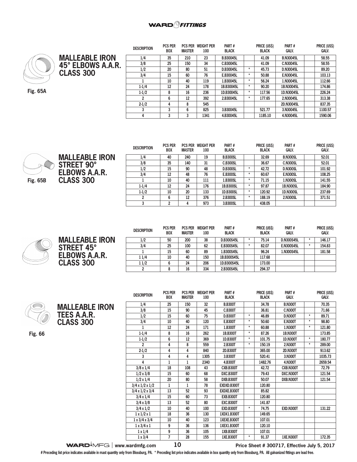#### **WARD**OFITTINGS



**MALLEABLE IRON 45° ELBOWS A.A.R. CLASS 300**

**Fig. 65A**

| <b>DESCRIPTION</b> | PUS PER<br><b>BOX</b> | <b>MASTER</b> | PUS PER WEIGHT PER<br>100 | <b>PARI</b> #<br><b>BLACK</b> |         | <b>PRICE (USS)</b><br><b>BLACK</b> | <b>PARI#</b><br>GALV. | <b>PRICE (USS)</b><br>GALV. |
|--------------------|-----------------------|---------------|---------------------------|-------------------------------|---------|------------------------------------|-----------------------|-----------------------------|
| 1/4                | 35                    | 210           | 23                        | <b>B.B30045L</b>              |         | 41.09                              | <b>B.N30045L</b>      | 58.55                       |
| 3/8                | 25                    | 150           | 34                        | C.B30045L                     |         | 41.09                              | C.N30045L             | 58.55                       |
| 1/2                | 20                    | 80            | 51                        | D.B30045L                     | $\star$ | 45.73                              | D.N30045L             | 89.20                       |
| 3/4                | 15                    | 60            | 76                        | E.B30045L                     | $\star$ | 50.88                              | E.N30045L             | 103.13                      |
|                    | 10                    | 40            | 119                       | 1.B30045L                     | $\star$ | 56.24                              | 1.N30045L             | 112.66                      |
| $1 - 1/4$          | 12                    | 24            | 178                       | 1B.B30045L                    | $\star$ | 90.20                              | 1B.N30045L            | 174.86                      |
| $1 - 1/2$          | 8                     | 16            | 236                       | 1D.B30045L                    | $\star$ | 117.56                             | 1D.N30045L            | 226.24                      |
| 2                  | 6                     | 12            | 392                       | 2.B30045L                     | ÷       | 177.65                             | 2.N30045L             | 313.38                      |
| $2 - 1/2$          | 4                     | 8             | 545                       |                               |         |                                    | 2D.N30045L            | 837.35                      |
| 3                  | 3                     | 6             | 825                       | 3.B30045L                     |         | 521.77                             | 3.N30045L             | 1100.57                     |
| 4                  | 3                     | 3             | 1341                      | 4.B30045L                     |         | 1185.10                            | 4.N30045L             | 1590.06                     |

 $\frac{1}{2}$ 



**MALLEABLE IRON STREET 90° ELBOWS A.A.R. CLASS 300**

| <b>DESCRIPTION</b> | <b>PCS PER</b><br><b>BOX</b> | <b>MASTER</b> | <b>PCS PER WEIGHT PER</b><br>100 | PART#<br><b>BLACK</b> |         | PRICE (US\$)<br><b>BLACK</b> | PART#<br>GALV.  | <b>PRICE (US\$)</b><br><b>GALV.</b> |
|--------------------|------------------------------|---------------|----------------------------------|-----------------------|---------|------------------------------|-----------------|-------------------------------------|
| 1/4                | 40                           | 240           | 19                               | <b>B.B300SL</b>       |         | 32.69                        | <b>B.N300SL</b> | 52.01                               |
| 3/8                | 35                           | 140           | 31                               | <b>C.B300SL</b>       |         | 36.67                        | <b>C.N300SL</b> | 52.01                               |
| 1/2                | 15                           | 90            | 48                               | <b>D.B300SL</b>       | ٠       | 42.72                        | <b>D.N300SL</b> | 101.92                              |
| 3/4                | 12                           | 48            | 76                               | <b>E.B300SL</b>       | ÷       | 60.67                        | <b>E.N300SL</b> | 108.25                              |
|                    | 10                           | 40            | 111                              | 1.B300SL              | $\star$ | 71.15                        | 1.N300SL        | 141.55                              |
| $1-1/4$            | 12                           | 24            | 176                              | 1B.B300SL             | ٠       | 97.87                        | 1B.N300SL       | 184.90                              |
| $1 - 1/2$          | 10                           | 20            | 133                              | 1D.B300SL             | ÷       | 120.92                       | 1D.N300SL       | 237.69                              |
|                    | 6                            | 12            | 376                              | 2.B300SL              | ÷       | 188.19                       | 2.N300SL        | 371.51                              |
| 3                  | 2                            | 4             | 973                              | 3.B300SL              |         | 438.05                       |                 |                                     |

| <b>MALLEABLE IRON</b><br><b>STREET 45°</b> |
|--------------------------------------------|
| <b>ELBOWS A.A.R.</b>                       |
| <b>CLASS 300</b>                           |

| <b>DESCRIPTION</b> | <b>PCS PER</b><br><b>BOX</b> | <b>PCS PER</b><br><b>MASTER</b> | <b>WEIGHT PER</b><br>100 | PART#<br><b>BLACK</b> |   | PRICE (US\$)<br><b>BLACK</b> | PART#<br><b>GALV.</b> |         | PRICE (US\$)<br><b>GALV.</b> |
|--------------------|------------------------------|---------------------------------|--------------------------|-----------------------|---|------------------------------|-----------------------|---------|------------------------------|
| 1/2                | 50                           | 200                             | 38                       | D.B300S45L            | ٠ | 75.14                        | <b>D.N300S45L</b>     | ÷       | 146.17                       |
| 3/4                | 25                           | 100                             | 62                       | E.B300S45L            | ٠ | 82.07                        | <b>E.N300S45L</b>     | $\star$ | 154.83                       |
|                    | 15                           | 60                              | 89                       | 1.B300S45L            |   | 96.24                        | 1.N300S45L            |         | 181.58                       |
| 1 1/4              | 10                           | 40                              | 150                      | 1B.B300S45L           |   | 117.68                       |                       |         |                              |
| 11/2               |                              | 24                              | 206                      | 1D.B300S45L           |   | 173.00                       |                       |         |                              |
| 2                  |                              | 16                              | 334                      | 2.B300S45L            |   | 294.37                       |                       |         |                              |

|--|

**MALLEABLE IRON TEES A.A.R. CLASS 300** 

**Fig. 66**

| <b>DESCRIPTION</b>          | <b>PCS PER</b> | <b>PCS PER</b> | <b>WEIGHT PER</b> | PART#            |         | PRICE (US\$) | PART#            |         | PRICE (US\$) |
|-----------------------------|----------------|----------------|-------------------|------------------|---------|--------------|------------------|---------|--------------|
|                             | <b>BOX</b>     | <b>MASTER</b>  | 100               | <b>BLACK</b>     |         | <b>BLACK</b> | <b>GALV.</b>     |         | <b>GALV.</b> |
| 1/4                         | 25             | 150            | 32                | <b>B.B300T</b>   |         | 34.78        | <b>B.N300T</b>   |         | 70.35        |
| 3/8                         | 15             | 90             | 45                | <b>C.B300T</b>   |         | 36.81        | <b>C.N300T</b>   |         | 71.66        |
| 1/2                         | 15             | 60             | 75                | <b>D.B300T</b>   | $\star$ | 46.89        | <b>D.N300T</b>   | $\star$ | 89.71        |
| 3/4                         | 10             | 40             | 120               | <b>E.B300T</b>   | $\star$ | 50.60        | <b>E.N300T</b>   | $\star$ | 98.80        |
| 1                           | 12             | 24             | 171               | 1.B300T          | $\star$ | 60.88        | 1.N300T          | $\star$ | 121.80       |
| $1 - 1/4$                   | 8              | 16             | 262               | 1B.B300T         | $\star$ | 87.26        | <b>1B.N300T</b>  |         | 173.85       |
| $1 - 1/2$                   | 6              | 12             | 369               | 1D.B300T         | $\star$ | 101.75       | 1D.N300T         | $\star$ | 180.77       |
| $\overline{2}$              | 4              | 8              | 559               | 2.B300T          | $\star$ | 150.19       | 2.N300T          | $\star$ | 289.00       |
| $2 - 1/2$                   | 4              | 4              | 840               | 2D.B300T         |         | 365.00       | 2D.N300T         |         | 913.62       |
| 3                           | 4              | 4              | 1305              | 3.B300T          |         | 520.41       | 3.N300T          |         | 1035.73      |
| 4                           | 1              | 1              | 2340              | 4.B300T          |         | 1482.76      | 4.N300T          |         | 2659.54      |
| $3/8 \times 1/4$            | 18             | 108            | 43                | <b>CXB.B300T</b> |         | 42.72        | CXB.N300T        |         | 72.79        |
| $1/2 \times 3/8$            | 15             | 60             | 68                | DXC.B300T        |         | 79.43        | DXC.N300T        |         | 121.54       |
| $1/2 \times 1/4$            | 20             | 80             | 58                | DXB.B300T        |         | 50.07        | DXB.N300T        |         | 121.54       |
| $3/4 \times 1/2 \times 1/2$ | 1              | 1              | 78                | EXDXD.B300T      |         | 120.80       |                  |         |              |
| $3/4 \times 1/2 \times 3/4$ | 13             | 52             | 93                | EXDXE.B300T      |         | 85.82        |                  |         |              |
| $3/4 \times 1/4$            | 15             | 60             | 73                | <b>EXB.B300T</b> |         | 120.80       |                  |         |              |
| $3/4 \times 3/8$            | 13             | 52             | 80                | <b>EXC.B300T</b> |         | 141.87       |                  |         |              |
| $3/4 \times 1/2$            | 10             | 40             | 100               | <b>EXD.B300T</b> | $\star$ | 74.75        | EXD.N300T        |         | 131.22       |
| $1 \times 1/2 \times 1$     | 18             | 36             | 130               | 1XDX1.B300T      |         | 149.65       |                  |         |              |
| $1 \times 3/4 \times 3/4$   | 10             | 40             | 123               | 1XEXE.B300T      |         | 107.01       |                  |         |              |
| $1 \times 3/4 \times 1$     | 9              | 36             | 136               | 1XEX1.B300T      |         | 120.10       |                  |         |              |
| $1 \times 1/4$              | 9              | 36             | 105               | 1XB.B300T        |         | 107.01       |                  |         |              |
| $1 \times 3/4$              | 7              | 28             | 155               | 1XE.B300T        | $\star$ | 91.37        | <b>1XE.N300T</b> |         | 172.35       |

**WARD**<sup> $\bullet$ </sup>MFG | www.wardmfg.com **10 Price Sheet # 300717, Effective July 5, 2017**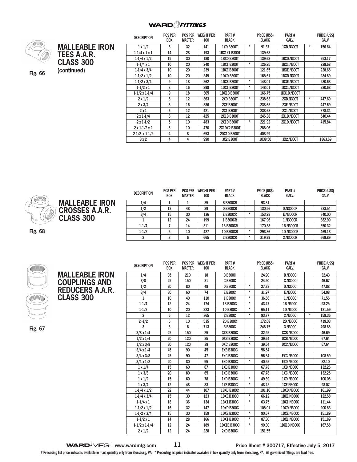

**(continued) Fig. 66**

| <b>MALLEABLE IRON</b><br><b>TEES A.A.R.</b><br><b>CLASS 300</b><br>(continued) |  |
|--------------------------------------------------------------------------------|--|
|                                                                                |  |

| <b>DESCRIPTION</b>          | <b>PCS PER</b><br>BOX | <b>PCS PER</b><br><b>MASTER</b> | <b>WEIGHT PER</b><br>100 | PART#<br><b>BLACK</b> |         | PRICE (US\$)<br><b>BLACK</b> | PART#<br><b>GALV.</b> |         | PRICE (US\$)<br>GALV. |
|-----------------------------|-----------------------|---------------------------------|--------------------------|-----------------------|---------|------------------------------|-----------------------|---------|-----------------------|
|                             |                       |                                 |                          |                       |         |                              |                       |         |                       |
| $1 \times 1/2$              | 8                     | 32                              | 141                      | 1XD.B300T             | $^\ast$ | 91.37                        | <b>1XD.N300T</b>      | *       | 156.64                |
| $1-1/4 \times 1 \times 1$   | 14                    | 28                              | 193                      | 1BX1X1.B300T          |         | 139.68                       |                       |         |                       |
| $1-1/4 \times 1/2$          | 15                    | 30                              | 180                      | 1BXD.B300T            |         | 139.68                       | 1BXD.N300T            |         | 253.17                |
| $1 - 1/4x1$                 | 10                    | 20                              | 240                      | 1BX1.B300T            | $\star$ | 126.25                       | <b>1BX1.N300T</b>     |         | 228.68                |
| $1-1/4 \times 3/4$          | 10                    | 20                              | 239                      | <b>1BXE.B300T</b>     |         | 121.65                       | 1BXE.N300T            |         | 228.68                |
| $1-1/2 \times 1/2$          | 10                    | 20                              | 249                      | 1DXD.B300T            |         | 165.61                       | 1DXD.N300T            |         | 284.89                |
| $1-1/2 \times 3/4$          | 9                     | 18                              | 262                      | 1DXE.B300T            | $\star$ | 148.01                       | 1DXE.N300T            |         | 280.68                |
| $1 - 1/2 \times 1$          | 8                     | 16                              | 298                      | 1DX1.B300T            | $\star$ | 148.01                       | <b>1DX1.N300T</b>     |         | 280.68                |
| $1-1/2 \times 1-1/4$        | 9                     | 18                              | 305                      | 1DX1B.B300T           |         | 166.75                       | 1DX1B.N300T           |         |                       |
| $2 \times 1/2$              | 6                     | 12                              | 363                      | 2XD.B300T             | $^\ast$ | 238.63                       | <b>2XD.N300T</b>      | $\star$ | 447.69                |
| $2 \times 3/4$              | 8                     | 16                              | 386                      | <b>2XE.B300T</b>      |         | 238.63                       | <b>2XE.N300T</b>      |         | 447.69                |
| 2x1                         | 6                     | 12                              | 421                      | 2X1.B300T             |         | 238.63                       | 2X1.N300T             |         | 378.34                |
| $2 \times 1 - 1/4$          | 6                     | 12                              | 425                      | 2X1B.B300T            |         | 245.38                       | <b>2X1B.N300T</b>     |         | 540.44                |
| $2 \times 1 - 1/2$          | 5                     | 10                              | 483                      | 2X1D.B300T            | $\star$ | 221.92                       | 2X1D.N300T            |         | 415.84                |
| $2 \times 1 - 1/2 \times 2$ | 5                     | 10                              | 470                      | 2X1DX2.B300T          |         | 288.06                       |                       |         |                       |
| $2-1/2 \times 1-1/2$        | 4                     | 8                               | 653                      | 2DX1D.B300T           |         | 408.99                       |                       |         |                       |
| 3x2                         | 4                     | 4                               | 990                      | 3X2.B300T             |         | 1038.50                      | 3X2.N300T             |         | 1863.69               |



**CLASS 300** 

|                       | <b>DESCRIPTION</b> | <b>PCS PER</b><br><b>BOX</b> | <b>PCS PER</b><br><b>MASTER</b> | <b>WEIGHT PER</b><br>100 | PART#<br><b>BLACK</b> | PRICE (US\$)<br><b>BLACK</b> | PART#<br><b>GALV.</b> | PRICE (US\$)<br><b>GALV.</b> |
|-----------------------|--------------------|------------------------------|---------------------------------|--------------------------|-----------------------|------------------------------|-----------------------|------------------------------|
| <b>MALLEABLE IRON</b> | 1/4                |                              |                                 | 35                       | <b>B.B300CR</b>       | 93.81                        |                       |                              |
| <b>CROSSES A.A.R.</b> | 1/2                | 12                           | 48                              | 89                       | <b>D.B300CR</b>       | 130.56                       | <b>D.N300CR</b>       | 233.54                       |
|                       | 3/4                | 15                           | 30                              | 136                      | <b>E.B300CR</b>       | 153.98                       | <b>E.N300CR</b>       | 340.00                       |
| <b>CLASS 300</b>      |                    | 12                           | 24                              | 199                      | 1.B300CR              | 167.96                       | 1.N300CR              | 382.99                       |
|                       | $1 - 1/4$          |                              | 14                              | 311                      | 1B.B300CR             | 170.38                       | <b>1B.N300CR</b>      | 350.32                       |
|                       | $1-1/2$            |                              | 10                              | 427                      | 1D.B300CR             | 293.86                       | <b>1D.N300CR</b>      | 469.13                       |
|                       |                    |                              |                                 | 665                      | 2.B300CR              | 319.99                       | 2.N300CR              | 669.89                       |



**Fig. 67**

**MALLEABLE IRON COUPLINGS AND REDUCERS A.A.R. DESCRIPTION PCS PER BOX PCS PER WEIGHT PER MASTER 100 PART # BLACK PRICE (US\$) BLACK PART # GALV. PRICE (US\$) GALV. 1/4 35 210 18 B.B300C 24.90 B.N300C 32.43 3/8 25 150 31 C.B300C 24.90 C.N300C 46.67 1/2 20 80 48 D.B300C \* 27.78 D.N300C 47.88 3/4 30 60 74 E.B300C \* 31.97 E.N300C 54.08 1 10 40 110 1.B300C \* 36.56 1.N300C 71.55 1-1/4 12 24 174 1B.B300C \* 43.47 1B.N300C 93.25 1-1/2 10 20 223 1D.B300C \* 65.11 1D.N300C 131.59 2 6 12 365 2.B300C \* 93.77 2.N300C \* 159.36 2 -1/2 5 10 535 2D.B300C 172.68 2D.N300C 419.03 3 3 6 713 3.B300C 248.75 3.N300C 498.85 3/8 x 1/4 25 150 25 CXB.B300C 32.92 CXB.N300C 46.69 1/2 x 1/4 20 120 35 DXB.B300C \* 39.64 DXB.N300C 67.64 1/2 x 3/8 30 120 39 DXC.B300C \* 39.64 DXC.N300C 67.64 3/4 x 1/4 45 90 45 EXB.B300C 56.54 3/4 x 3/8 45 90 47 EXC.B300C 56.54 EXC.N300C 108.59 3/4 x 1/2 20 80 55 EXD.B300C \* 40.52 EXD.N300C 82.10 1 x 1/4 15 60 67 1XB.B300C 67.78 1XB.N300C 132.25 1 x 3/8 20 80 65 1XC.B300C 67.78 1XC.N300C 132.25 1 x 1/2 15 60 78 1XD.B300C \* 49.39 1XD.N300C 100.05 1 x 3/4 12 48 83 1XE.B300C \* 48.42 1XE.N300C 98.07 1-1/4 x 1/2 22 44 107 1BXD.B300C 101.10 1BXD.N300C 161.99 1-1/4 x 3/4 15 30 123 1BXE.B300C \* 66.12 1BXE.N300C 122.58 1-1/4 x 1 18 36 134 1BX1.B300C \* 63.75 1BX1.N300C 111.44 1-1/2 x 1/2 16 32 147 1DXD.B300C 105.01 1DXD.N300C 200.83 1-1/2 x 3/4 15 30 159 1DXE.B300C \* 90.67 1DXE.N300C 151.89 1-1/2 x 1 14 28 166 1DX1.B300C \* 87.30 1DX1.N300C 151.89 1-1/2 x 1-1/4 12 24 189 1DX1B.B300C \* 99.30 1DX1B.N300C 167.58 2 x 1/2 12 24 228 2XD.B300C 151.55**

**WARD**<sup> $\overline{\phantom{a}}$ MFG | www.wardmfg.com  $11$  **Price Sheet # 300717, Effective July 5, 2017**</sup>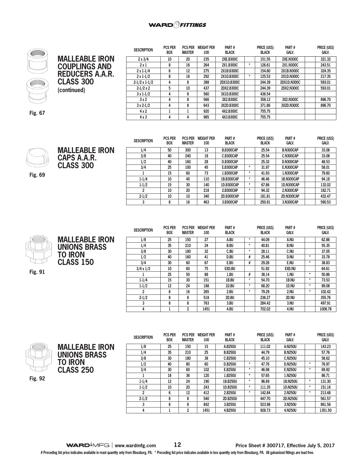

# **MALLEABLE IRON COUPLINGS AND REDUCERS A.A.R. CLASS 300 (continued)**

| <b>DESCRIPTION</b>   | <b>PCS PER</b><br><b>BOX</b> | <b>PCS PER</b><br><b>MASTER</b> | <b>WEIGHT PER</b><br>100 | PART#<br><b>BLACK</b> |         | PRICE (US\$)<br><b>BLACK</b> | PART#<br>GALV.    | PRICE (US\$)<br>GALV. |
|----------------------|------------------------------|---------------------------------|--------------------------|-----------------------|---------|------------------------------|-------------------|-----------------------|
| $2 \times 3/4$       | 10                           | 20                              | 235                      | <b>2XE.B300C</b>      |         | 151.55                       | <b>2XE.N300C</b>  | 321.32                |
| 2x1                  | 8                            | 16                              | 264                      | 2X1.B300C             | $\star$ | 126.61                       | 2X1.N300C         | 243.51                |
| $2 \times 1 - 1/4$   | 6                            | 12                              | 275                      | 2X1B.B300C            |         | 154.80                       | 2X1B.N300C        | 324.35                |
| $2 \times 1 - 1/2$   | 8                            | 16                              | 292                      | 2X1D.B300C            | $\star$ | 125.53                       | 2X1D.N300C        | 217.35                |
| $2-1/2 \times 1-1/2$ | 4                            | 8                               | 388                      | 2DX1D.B300C           |         | 244.39                       | 2DX1D.N300C       | 593.01                |
| $2-1/2 \times 2$     | 5                            | 10                              | 437                      | 2DX2.B300C            |         | 244.39                       | <b>2DX2.N300C</b> | 593.01                |
| $3x1-1/2$            | 4                            | 8                               | 560                      | 3X1D.B300C            |         | 436.54                       |                   |                       |
| 3x2                  | 4                            | 8                               | 566                      | 3X2.B300C             |         | 358.12                       | 3X2.N300C         | 896.70                |
| $3x2-1/2$            | 4                            | 8                               | 643                      | 3X2D.B300C            |         | 371.86                       | 3X2D.N300C        | 896.70                |
| $4 \times 2$         |                              |                                 | 920                      | 4X2.B300C             |         | 755.75                       |                   |                       |
| 4x3                  | 4                            | 4                               | 985                      | 4X3.B300C             |         | 755.75                       |                   |                       |

**Fig. 67**



**MALLEABLE IRON CAPS A.A.R. CLASS 300**

**Fig. 69**

| <b>DESCRIPTION</b> | <b>PCS PER</b><br><b>BOX</b> | <b>PCS PER</b><br><b>MASTER</b> | <b>WEIGHT PER</b><br>100 | PART#<br><b>BLACK</b> |         | PRICE (US\$)<br><b>BLACK</b> | PART#<br><b>GALV.</b> | PRICE (US\$)<br>Galv. |
|--------------------|------------------------------|---------------------------------|--------------------------|-----------------------|---------|------------------------------|-----------------------|-----------------------|
| 1/4                | 50                           | 300                             | 13                       | <b>B.B300CAP</b>      |         | 25.54                        | <b>B.N300CAP</b>      | 33.08                 |
| 3/8                | 40                           | 240                             | 18                       | C.B300CAP             |         | 25.54                        | <b>C.N300CAP</b>      | 33.08                 |
| 1/2                | 40                           | 160                             | 28                       | <b>D.B300CAP</b>      |         | 25.32                        | D.N300CAP             | 48.53                 |
| 3/4                | 25                           | 100                             | 45                       | <b>E.B300CAP</b>      | $\ast$  | 31.97                        | <b>E.N300CAP</b>      | 58.01                 |
|                    | 15                           | 60                              | 73                       | 1.B300CAP             | $\star$ | 41.93                        | 1.N300CAP             | 79.60                 |
| $1 - 1/4$          | 10                           | 40                              | 110                      | 1B.B300CAP            | $\star$ | 46.46                        | 1B.N300CAP            | 94.18                 |
| $1 - 1/2$          | 15                           | 30                              | 140                      | 1D.B300CAP            | $\star$ | 67.86                        | <b>1D.N300CAP</b>     | 132.02                |
| 2                  | 10                           | 20                              | 218                      | 2.B300CAP             | $\star$ | 94.32                        | 2.N300CAP             | 182.71                |
| $2 - 1/2$          | 10                           | 10                              | 340                      | 2D.B300CAP            |         | 181.81                       | <b>2D.N300CAP</b>     | 432.47                |
| 3                  | 8                            | 16                              | 463                      | 3.B300CAP             |         | 250.91                       | 3.N300CAP             | 590.53                |



**MALLEABLE IRON UNIONS BRASS TO IRON CLASS 150** 

**Fig. 91**

| <b>DESCRIPTION</b> | <b>PCS PER</b><br><b>BOX</b> | <b>PCS PER</b><br><b>MASTER</b> | <b>WEIGHT PER</b><br>100 | PART#<br><b>BLACK</b> |         | PRICE (US\$)<br><b>BLACK</b> | PART#<br><b>GALV.</b> |         | PRICE (US\$)<br>GALV. |
|--------------------|------------------------------|---------------------------------|--------------------------|-----------------------|---------|------------------------------|-----------------------|---------|-----------------------|
| 1/8                | 25                           | 150                             | 27                       | A.BU                  | $\ast$  | 44.09                        | A.NU                  |         | 62.86                 |
| 1/4                | 35                           | 210                             | 24                       | <b>B.BU</b>           | $\star$ | 40.81                        | <b>B.NU</b>           |         | 55.35                 |
| 3/8                | 30                           | 180                             | 32                       | C.BU                  | $\star$ | 28.11                        | C.NU                  |         | 37.05                 |
| 1/2                | 40                           | 160                             | 41                       | D.BU                  | #       | 25.46                        | D.NU                  | $\star$ | 33.78                 |
| 3/4                | 30                           | 60                              | 67                       | E.BU                  | #       | 29.26                        | E.NU                  | $\star$ | 38.83                 |
| $3/4 \times 1/2$   | 10                           | 60                              | 75                       | EXD.BU                |         | 51.92                        | <b>EXD.NU</b>         |         | 64.61                 |
|                    | 25                           | 50                              | 88                       | 1.BU                  | #       | 38.14                        | 1.NU                  | $\star$ | 50.86                 |
| $1 - 1/4$          | 15                           | 30                              | 151                      | 1B.BU                 | $\star$ | 54.70                        | 1B.NU                 | $\star$ | 73.53                 |
| $1-1/2$            | 12                           | 24                              | 188                      | 1D.BU                 | $\ast$  | 68.20                        | 1D.NU                 | $\star$ | 89.08                 |
| 2                  | 8                            | 16                              | 265                      | 2.BU                  | $\ast$  | 79.29                        | 2.NU                  | $\star$ | 102.42                |
| $2 - 1/2$          | 8                            | 8                               | 518                      | 2D.BU                 |         | 236.27                       | 2D.NU                 |         | 355.76                |
| 3                  | 8                            | 8                               | 763                      | 3.BU                  |         | 284.42                       | 3.NU                  |         | 497.91                |
| 4                  |                              | 2                               | 1451                     | 4.BU                  |         | 702.02                       | 4.NU                  |         | 1008.78               |

| <b>MALLEABLE IRON</b><br><b>UNIONS BRASS</b> |
|----------------------------------------------|
| <b>TO IRON</b>                               |
| <b>CLASS 250</b>                             |

**Fig. 92**

| <b>DESCRIPTION</b> | <b>PCS PER</b><br><b>BOX</b> | <b>PCS PER</b><br><b>MASTER</b> | <b>WEIGHT PER</b><br>100 | PART#<br><b>BLACK</b> |         | PRICE (US\$)<br><b>BLACK</b> | PART#<br>GALV. |         | PRICE (US\$)<br><b>GALV.</b> |
|--------------------|------------------------------|---------------------------------|--------------------------|-----------------------|---------|------------------------------|----------------|---------|------------------------------|
| 1/8                | 25                           | 150                             | 15                       | A.B250U               |         | 111.02                       | A.N250U        |         | 143.23                       |
| 1/4                | 35                           | 210                             | 25                       | <b>B.B250U</b>        |         | 44.79                        | <b>B.N250U</b> |         | 57.76                        |
| 3/8                | 30                           | 180                             | 38                       | <b>C.B250U</b>        |         | 45.10                        | <b>C.N250U</b> |         | 58.62                        |
| 1/2                | 40                           | 80                              | 60                       | <b>D.B250U</b>        | $\star$ | 47.76                        | <b>D.N250U</b> | $\star$ | 76.97                        |
| 3/4                | 30                           | 60                              | 102                      | E.B250U               | $\star$ | 46.98                        | <b>E.N250U</b> | $\ast$  | 69.92                        |
|                    | 18                           | 36                              | 120                      | 1.B250U               | $\star$ | 57.65                        | 1.N250U        |         | 86.71                        |
| $1 - 1/4$          | 12                           | 24                              | 190                      | 1B.B250U              | $\star$ | 96.69                        | 1B.N250U       | $\star$ | 131.30                       |
| $1-1/2$            | 10                           | 20                              | 243                      | 1D.B250U              | $\star$ | 111.35                       | 1D.N250U       | $\star$ | 151.16                       |
| 2                  | 6                            | 12                              | 412                      | 2.B250U               | $\star$ | 142.84                       | 2.N250U        | $\star$ | 213.48                       |
| $2 - 1/2$          | 8                            | 8                               | 540                      | 2D.B250U              |         | 447.70                       | 2D.N250U       |         | 561.57                       |
| 3                  | 8                            | 8                               | 842                      | 3.B250U               |         | 523.98                       | 3.N250U        |         | 861.58                       |
| 4                  |                              | 2                               | 1451                     | 4.B250U               |         | 928.73                       | 4.N250U        |         | 1351.50                      |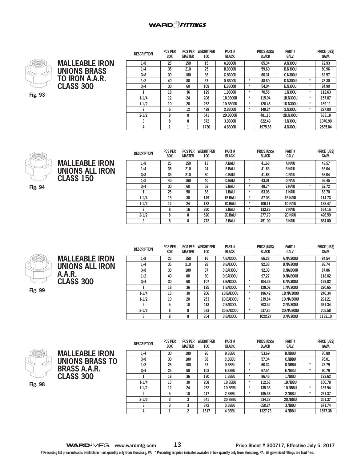



**MALLEABLE IRON UNIONS ALL IRON**

**CLASS 150** 

| <b>DESCRIPTION</b> | <b>PCS PER</b><br><b>BOX</b> | <b>PCS PER</b><br><b>MASTER</b> | <b>WEIGHT PER</b><br>100 | Part#<br><b>BLACK</b> |         | <b>PRICE (USS)</b><br><b>BLACK</b> | Part#<br><b>GALV.</b> |         | <b>PRICE (USS)</b><br><b>GALV.</b> |
|--------------------|------------------------------|---------------------------------|--------------------------|-----------------------|---------|------------------------------------|-----------------------|---------|------------------------------------|
| 1/8                | 25                           | 150                             | 15                       | A.B300U               |         | 65.34                              | A.N300U               |         | 72.93                              |
| 1/4                | 35                           | 210                             | 25                       | <b>B.B300U</b>        |         | 59.60                              | <b>B.N300U</b>        |         | 80.96                              |
| 3/8                | 30                           | 180                             | 38                       | C.B300U               |         | 60.31                              | <b>C.N300U</b>        |         | 82.57                              |
| 1/2                | 40                           | 80                              | 57                       | <b>D.B300U</b>        | ۰       | 48.80                              | <b>D.N300U</b>        | $\ast$  | 78.30                              |
| 3/4                | 30                           | 60                              | 109                      | E.B300U               | $\star$ | 54.04                              | <b>E.N300U</b>        | $\star$ | 84.90                              |
|                    | 18                           | 36                              | 129                      | 1.B300U               | $\star$ | 70.55                              | 1.N300U               | $\ast$  | 112.63                             |
| $1 - 1/4$          | 12                           | 24                              | 208                      | 1B.B300U              | $\star$ | 115.04                             | 1B.N300U              | $\ast$  | 157.07                             |
| $1 - 1/2$          | 10                           | 20                              | 252                      | 1D.B300U              | $\star$ | 120.48                             | 1D.N300U              | $\ast$  | 189.11                             |
| $\overline{2}$     | 6                            | 12                              | 428                      | 2.B300U               | $\ast$  | 149.24                             | 2.N300U               | $\ast$  | 227.00                             |
| $2 - 1/2$          | 8                            | 8                               | 541                      | 2D.B300U              |         | 481.16                             | <b>2D.N300U</b>       |         | 633.18                             |
| 3                  | 8                            | 8                               | 872                      | 3.B300U               |         | 622.49                             | 3.N300U               |         | 1070.90                            |
| 4                  |                              |                                 | 1730                     | 4.B300U               |         | 1975.68                            | 4.N300U               |         | 2685.84                            |



**Fig. 94**

| <b>DESCRIPTION</b> | <b>PCS PER</b> | <b>PCS PER</b> | <b>WEIGHT PER</b> | PART#         |         | PRICE (US\$) | PART#          |         | PRICE (US\$) |
|--------------------|----------------|----------------|-------------------|---------------|---------|--------------|----------------|---------|--------------|
|                    | <b>BOX</b>     | <b>MASTER</b>  | 100               | <b>BLACK</b>  |         | <b>BLACK</b> | <b>GALV.</b>   |         | <b>GALV.</b> |
| 1/8                | 25             | 150            | 13                | A.BAIU        |         | 41.63        | A.NAIU         |         | 43.57        |
| 1/4                | 35             | 210            | 24                | <b>B.BAIU</b> |         | 41.63        | <b>B.NAIU</b>  |         | 53.04        |
| 3/8                | 35             | 210            | 30                | <b>C.BAIU</b> |         | 41.63        | <b>C.NAIU</b>  |         | 53.04        |
| 1/2                | 40             | 160            | 40                | <b>D.BAIU</b> | $\star$ | 43.01        | <b>D.NAIU</b>  |         | 56.45        |
| 3/4                | 30             | 60             | 68                | E.BAIU        | $\star$ | 48.74        | <b>E.NAIU</b>  | $\star$ | 62.72        |
|                    | 25             | 50             | 88                | 1.BAIU        | $\ast$  | 63.08        | 1.NAIU         |         | 83.70        |
| $1 - 1/4$          | 15             | 30             | 149               | 1B.BAIU       | $\star$ | 87.03        | <b>1B.NAIU</b> |         | 114.73       |
| $1-1/2$            | 12             | 24             | 182               | 1D.BAIU       | $\star$ | 106.11       | <b>1D.NAIU</b> |         | 138.47       |
| $\overline{2}$     | 8              | 16             | 260               | 2.BAIU        | $\star$ | 133.86       | 2.NAIU         |         | 164.15       |
| $2 - 1/2$          | 8              | 8              | 520               | 2D.BAIU       |         | 277.79       | 2D.NAIU        |         | 426.59       |
| 3                  | 8              | 8              | 772               | 3.BAIU        |         | 451.09       | 3.NAIU         |         | 664.80       |

| ╲<br>c<br>$\overline{\phantom{0}}$ | s. | ╱<br>٠ |
|------------------------------------|----|--------|

**Fig. 99**

**MALLEABLE IRON UNIONS ALL IRON A.A.R. CLASS 300** 

**DESCRIPTION PCS PER BOX PCS PER WEIGHT PER MASTER 100 PART # BLACK PRICE (US\$) BLACK PART # GALV. PRICE (US\$) GALV. 1/8 25 150 16 A.BAI300U 66.28 A.NAI300U 84.54 1/4 35 210 28 B.BAI300U 92.33 B.NAI300U 88.74 3/8 30 180 37 C.BAI300U 92.33 C.NAI300U 87.86 1/2 40 80 60 D.BAI300U 97.27 D.NAI300U 118.02 3/4 30 60 107 E.BAI300U \* 104.39 E.NAI300U 129.82 1 18 36 125 1.BAI300U \* 128.02 1.NAI300U 220.65 1-1/4 15 30 206 1B.BAI300U \* 196.42 1B.NAI300U 240.34 1-1/2 10 20 253 1D.BAI300U \* 239.84 1D.NAI300U 291.21 2 5 10 418 2.BAI300U 303.52 2.NAI300U 361.34 2-1/2 8 8 533 2D.BAI300U \* 537.85 2D.NAI300U 705.58 3 8 8 854 3.BAI300U 1022.27 3.NAI300U 1132.10**



|                       | <b>DESCRIPTION</b> | <b>PCS PER</b><br><b>BOX</b> | <b>PCS PER</b><br><b>MASTER</b> | <b>WEIGHT PER</b><br>100 | PART#<br><b>BLACK</b> |         | <b>PRICE (US\$)</b><br><b>BLACK</b> | PART#<br><b>GALV.</b> |         | PRICE (US\$)<br>Galv. |
|-----------------------|--------------------|------------------------------|---------------------------------|--------------------------|-----------------------|---------|-------------------------------------|-----------------------|---------|-----------------------|
| <b>MALLEABLE IRON</b> | 1/4                | 30                           | 180                             | 26                       | <b>B.BBBU</b>         |         | 53.69                               | <b>B.NBBU</b>         |         | 70.80                 |
| UNIONS BRASS TO       | 3/8                | 30                           | 180                             | 38                       | <b>C.BBBU</b>         |         | 57.34                               | <b>C.NBBU</b>         |         | 76.01                 |
|                       | 1/2                | 25                           | 100                             | 57                       | <b>D.BBBU</b>         | $\star$ | 60.34                               | <b>D.NBBU</b>         | ۰       | 78.79                 |
| <b>BRASS A.A.R.</b>   | 3/4                | 25                           | 50                              | 103                      | E.BBBU                | $\star$ | 67.54                               | <b>E.NBBU</b>         | $\star$ | 90.79                 |
| <b>CLASS 300</b>      |                    | 18                           | 36                              | 130                      | 1.BBBU                | $\star$ | 86.46                               | 1.NBBU                |         | 122.62                |
|                       | $1 - 1/4$          | 15                           | 30                              | 208                      | 1B.BBBU               | $\star$ | 112.68                              | 1B.NBBU               |         | 160.78                |
|                       | $1 - 1/2$          | 12                           | 24                              | 252                      | 1D.BBBU               | $\star$ | 135.33                              | 1D.NBBU               | $\star$ | 187.94                |
|                       | ົ                  |                              | 10                              | 417                      | 2.BBBU                | $\star$ | 185.36                              | 2.NBBU                | $\star$ | 251.37                |
|                       | $2 - 1/2$          |                              | 3                               | 541                      | 2D.BBBU               |         | 534.23                              | 2D.NBBU               |         | 251.37                |
|                       |                    |                              | 3                               | 872                      | 3.BBBU                |         | 650.24                              | 3.NBBU                |         | 671.74                |
|                       |                    |                              | $\overline{2}$                  | 1517                     | 4.BBBU                |         | 1327.73                             | 4.NBBU                |         | 1877.38               |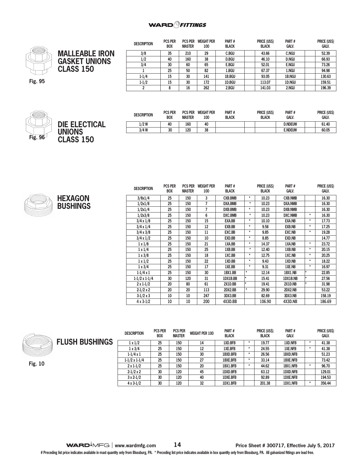### **WARD** *<u>PHTTINGS</u>*



|                       | <b>DESCRIPTION</b> | <b>PCS PER</b><br><b>BOX</b> | <b>MASTER</b> | <b>PCS PER WEIGHT PER</b><br>100 | PART#<br><b>BLACK</b> | PRICE (US\$)<br><b>BLACK</b> | PART#<br><b>GALV.</b> | PRICE (US\$)<br>galv. |
|-----------------------|--------------------|------------------------------|---------------|----------------------------------|-----------------------|------------------------------|-----------------------|-----------------------|
| <b>MALLEABLE IRON</b> | 3/8                | 35                           | 210           | 29                               | <b>C.BGU</b>          | 43.66                        | <b>C.NGU</b>          | 52.39                 |
| <b>GASKET UNIONS</b>  | 1/2                | 40                           | 160           | 38                               | <b>D.BGU</b>          | 46.10                        | <b>D.NGU</b>          | 66.93                 |
|                       | 3/4                | 30                           | 60            | 65                               | <b>E.BGU</b>          | 52.01                        | <b>E.NGU</b>          | 73.26                 |
| <b>CLASS 150</b>      |                    | 25                           | 50            | 82                               | 1.BGU                 | 67.37                        | 1.NGU                 | 94.98                 |
|                       | $1-1/4$            | 15                           | 30            | 141                              | <b>1B.BGU</b>         | 93.05                        | <b>1B.NGU</b>         | 130.63                |
|                       | $1 - 1/2$          | 15                           | 30            | 172                              | 1D.BGU                | 113.07                       | 1D.NGU                | 159.51                |
|                       |                    |                              | 16            | 262                              | 2.BGU                 | 141.03                       | 2.NGU                 | 196.39                |





| <b>DESCRIPTION</b> | <b>PCS PER</b><br><b>BOX</b> | <b>PCS PER</b><br><b>MASTER</b> | <b>WEIGHT PER</b><br>100 | PART#<br><b>BLACK</b> | PRICE (US\$)<br><b>BLACK</b> | PART#<br><b>GALV</b> | PRICE (US\$)<br><b>GALV.</b> |
|--------------------|------------------------------|---------------------------------|--------------------------|-----------------------|------------------------------|----------------------|------------------------------|
| $1/2$ W            | 40                           | 160                             | 40                       |                       |                              | <b>D.NDEUW</b>       | 61.40                        |
| $3/4$ W            | 30                           | 120                             | 38                       |                       |                              | <b>E.NDEUW</b>       | 60.05                        |



| <b>DESCRIPTION</b>   | <b>PCS PER</b> | <b>PCS PER</b> | <b>WEIGHT PER</b> | PART#          |         | <b>PRICE (US\$)</b> | PART#          |         | PRICE (US\$) |
|----------------------|----------------|----------------|-------------------|----------------|---------|---------------------|----------------|---------|--------------|
|                      | <b>BOX</b>     | <b>MASTER</b>  | 100               | <b>BLACK</b>   |         | <b>BLACK</b>        | <b>GALV.</b>   |         | <b>GALV.</b> |
| 3/8x1/4              | 25             | 150            | 3                 | <b>CXB.BMB</b> | ÷       | 10.23               | <b>CXB.NMB</b> |         | 16.30        |
| 1/2x1/8              | 25             | 150            | $\overline{7}$    | DXA.BMB        | $\star$ | 10.23               | <b>DXA.NMB</b> |         | 16.30        |
| 1/2x1/4              | 25             | 150            | 7                 | <b>DXB.BMB</b> | $\star$ | 10.23               | <b>DXB.NMB</b> |         | 16.30        |
| 1/2x3/8              | 25             | 150            | 6                 | DXC.BMB        | $\star$ | 10.23               | <b>DXC.NMB</b> | $\star$ | 16.30        |
| $3/4 \times 1/8$     | 25             | 150            | 15                | EXA.BB         | $\star$ | 10.10               | <b>EXA.NB</b>  | $\star$ | 17.73        |
| $3/4 \times 1/4$     | 25             | 150            | 12                | EXB.BB         | $\star$ | 9.58                | <b>EXB.NB</b>  | $\star$ | 17.25        |
| $3/4 \times 3/8$     | 25             | 150            | 11                | EXC.BB         | $\star$ | 9.85                | <b>EXC.NB</b>  | $\star$ | 19.28        |
| $3/4 \times 1/2$     | 25             | 150            | 10                | EXD.BB         | $\star$ | 8.85                | <b>EXD.NB</b>  |         | 14.77        |
| $1 \times 1/8$       | 25             | 150            | 21                | 1XA.BB         | $\star$ | 14.37               | 1XA.NB         | $\star$ | 23.72        |
| $1 \times 1/4$       | 25             | 150            | 25                | 1XB.BB         | $\star$ | 12.40               | 1XB.NB         | $\star$ | 20.15        |
| $1 \times 3/8$       | 25             | 150            | 18                | 1XC.BB         | $\star$ | 12.75               | 1XC.NB         | $\star$ | 20.25        |
| $1 \times 1/2$       | 25             | 150            | 22                | 1XD.BB         | $\star$ | 9.43                | 1XD.NB         | $\star$ | 18.22        |
| $1 \times 3/4$       | 25             | 150            | 17                | 1XE.BB         | $\star$ | 9.31                | 1XE.NB         | $\star$ | 16.97        |
| $1-1/4 \times 1$     | 25             | 150            | 30                | 1BX1.BB        | $\star$ | 12.14               | 1BX1.NB        | $\star$ | 22.85        |
| $1-1/2 \times 1-1/4$ | 30             | 120            | 31                | 1DX1B.BB       | l∗      | 15.41               | 1DX1B.NB       | $\star$ | 27.56        |
| $2 \times 1 - 1/2$   | 20             | 80             | 61                | 2X1D.BB        | l∗      | 19.41               | 2X1D.NB        | $\star$ | 31.98        |
| $2-1/2 \times 2$     | 20             | 20             | 113               | 2DX2.BB        | $\star$ | 29.90               | 2DX2.NB        |         | 53.22        |
| $3-1/2x3$            | 10             | 10             | 247               | 3DX3.BB        |         | 82.69               | 3DX3.NB        |         | 158.19       |
| 4 x 3-1/2            | 10             | 10             | 200               | 4X3D.BB        |         | 106.90              | 4X3D.NB        |         | 186.69       |



**Fig. 10**

|              | <b>DESCRIPTION</b>   | <b>PCS PER</b><br><b>BOX</b> | <b>PCS PER</b><br><b>MASTER</b> | <b>WEIGHT PER 100</b> | PART#<br><b>BLACK</b> |   | PRICE (US\$)<br><b>BLACK</b> | PART#<br><b>GALV.</b> |         | PRICE (US\$)<br><b>GALV.</b> |
|--------------|----------------------|------------------------------|---------------------------------|-----------------------|-----------------------|---|------------------------------|-----------------------|---------|------------------------------|
| <b>HINGS</b> | $1 \times 1/2$       | 25                           | 150                             | 14                    | 1XD.BFB               |   | 19.77                        | 1XD.NFB               | $\star$ | 41.38                        |
|              | $1 \times 3/4$       | 25                           | 150                             | 12                    | <b>1XE.BFB</b>        |   | 24.55                        | <b>1XE.NFB</b>        | $\star$ | 41.38                        |
|              | $1-1/4 \times 1$     | 25                           | 150                             | 30                    | 1BXD.BFB              |   | 26.56                        | <b>1BXD.NFB</b>       |         | 51.23                        |
|              | $1-1/2 \times 1-1/4$ | 25                           | 150                             | 27                    | <b>1BXE.BFB</b>       | * | 33.14                        | <b>1BXE.NFB</b>       |         | 73.42                        |
|              | $2 \times 1 - 1/2$   | 25                           | 150                             | 20                    | 1BX1.BFB              |   | 44.62                        | 1BX1.NFB              | $\ast$  | 96.70                        |
|              | $2-1/2 \times 2$     | 30                           | 120                             | 45                    | 1DXD.BFB              |   | 63.12                        | <b>1DXD.NFB</b>       |         | 129.01                       |
|              | $3 \times 2 - 1/2$   | 30                           | 120                             | 40                    | 1DXE.BFB              |   | 92.89                        | <b>1DXE.NFB</b>       |         | 194.53                       |
|              | $4 \times 3 - 1/2$   | 30                           | 120                             | 32                    | 1DX1.BFB              |   | 201.38                       | 1DX1.NFB              | $\star$ | 356.44                       |